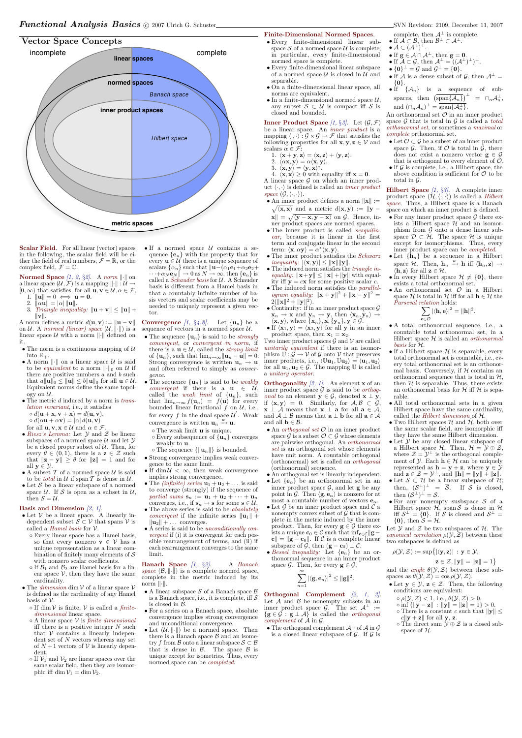## Vector Space Concepts



Scalar Field. For all linear (vector) spaces in the following, the scalar field will be either the field of real numbers,  $\mathcal{F} = \mathbb{R}$ , or the complex field,  $\mathcal{F} = \mathbb{C}$ .

Normed Space [1, 2, §2]. A norm  $\lVert \cdot \rVert$  on a linear space  $(\mathcal{U}, \mathcal{F})$  is a mapping  $\|\cdot\| : \mathcal{U} \to$  $[0,\infty)$  that satisfies, for all  $\mathbf{u}, \mathbf{v} \in \mathcal{U}, \alpha \in \mathcal{F}$ ,

- 1.  $\|\mathbf{u}\| = 0 \iff \mathbf{u} = \mathbf{0}$ .
- 2.  $\|\alpha\mathbf{u}\| = |\alpha| \|\mathbf{u}\|.$
- 3. Triangle inequality:  $\|\mathbf{u} + \mathbf{v}\| \leq \|\mathbf{u}\| +$  $\|\mathbf{v}\|.$

A norm defines a metric  $d(\mathbf{u}, \mathbf{v}) := \|\mathbf{u} - \mathbf{v}\|$ on U. A normed (linear) space  $(U, \|\cdot\|)$  is a linear space  $\mathcal U$  with a norm  $\lVert \cdot \rVert$  defined on it.

- The norm is a continuous mapping of  $U$ into  $\mathbb{R}_+$
- A norm  $\|\cdot\|$  on a linear space U is said to be *equivalent* to a norm  $\|\cdot\|_0$  on U if there are positive numbers  $a$  and  $b$  such that  $a||\mathbf{u}||_0 \leq ||\mathbf{u}|| \leq b||\mathbf{u}||_0$  for all  $\mathbf{u} \in \mathcal{U}$ . Equivalent norms define the same topology on  $\mathcal{U}$ .
- $\bullet$  The metric  $d$  induced by a norm is *trans*lation invariant, i.e., it satisfies  $\circ d(\mathbf{u} + \mathbf{x}, \mathbf{v} + \mathbf{x}) = d(\mathbf{u}, \mathbf{v}),$
- $\circ d(\alpha \mathbf{u} + \alpha \mathbf{v}) = |\alpha| d(\mathbf{u}, \mathbf{v})$
- for all  $\mathbf{u}, \mathbf{v}, \mathbf{x} \in \mathcal{U}$  and  $\alpha \in \mathcal{F}$
- $\bullet$   $Riesz's$   $Lemma:$  Let  $\mathcal Y$  and  $\mathcal Z$  be linear subspaces of a normed space  $U$  and let  $Y$ be a closed proper subset of  $U$ . Then, for every  $\theta \in (0,1)$ , there is a  $z \in \mathcal{Z}$  such that  $||\mathbf{z} - \mathbf{y}|| \ge \theta$  for  $||\mathbf{z}|| = 1$  and for all  $y \in \mathcal{Y}$ .
- $\bullet$  A subset  $\mathcal T$  of a normed space  $\mathcal U$  is said to be *total* in  $U$  if span  $T$  is dense in  $U$ .
- $\bullet$  Let  $S$  be a linear subspace of a normed space  $U$ . If S is open as a subset in  $U$ , then  $S = U$ .

#### Basis and Dimension  $(2, 1)$ .

- $\bullet$  Let  ${\mathcal V}$  be a linear space. A linearly independent subset  $S \subset V$  that spans V is called a *Hamel basis* for  $V$ .
	- Every linear space has a Hamel basis, so that every nonzero  $\mathbf{v} \in \mathcal{V}$  has a unique representation as a linear combination of finitely many elements of  $S$

 $\circ$  If dim V is finite, V is called a *finite*dimensional linear space.

- $\circ$  A linear space  $V$  is finite dimensional iff there is a positive integer  $N$  such that  $V$  contains a linearly independent set of  $N$  vectors whereas any set of  $N+1$  vectors of  $V$  is linearly dependent.
- $\circ$  If  $\mathcal{V}_1$  and  $\mathcal{V}_2$  are linear spaces over the same scalar field, then they are isomorphic iff dim  $V_1 = \dim V_2$ .

 $\bullet$  If a normed space  $\mathcal U$  contains a sequence  ${e_n}$  with the property that for every  $\mathbf{u} \in \mathcal{U}$  there is a unique sequence of scalars  $\{\alpha_n\}$  such that  $\|\mathbf{u}-(\alpha_1\mathbf{e}_1+\alpha_2\mathbf{e}_2+\alpha_3\mathbf{e}_3)\|$  $\cdots + \alpha_N \mathbf{e}_N \Vert \to 0$  as  $N \to \infty$ , then  $\{\mathbf{e}_n\}$  is called a *Schauder basis* for  $U$ . A Schauder basis is different from a Hamel basis in that a countably infinite number of basis vectors and scalar coefficients may be needed to uniquely represent a given vector.

**Convergence** [1, §4.8]. Let  $\{u_n\}$  be a sequence of vectors in a normed space  $\mathcal{U}$ .

with nonzero scalar coefficients.

- $\circ$  If  $\mathcal{B}_1$  and  $\mathcal{B}_2$  are Hamel basis for a linear space  $V$ , then they have the same cardinality.
- The *dimension* dim  $V$  of a linear space  $V$ is defined as the cardinality of any Hamel basis of  $\mathcal V$ .
- The sequence  $\{u_n\}$  is said to be *strongly* convergent, or convergent in norm, if there is a  $\mathbf{u} \in \mathcal{U}$ , called the *strong limit* of  $\{u_n\}$ , such that  $\lim_{n\to\infty} ||u_n - u|| = 0$ . Strong convergence is written  $\mathbf{u}_n \to \mathbf{u}$ and often referred to simply as convergence.
- The sequence  $\{u_n\}$  is said to be *weakly* convergent if there is a  $\mathbf{u} \in \mathcal{U}$ , called the *weak limit* of  $\{u_n\}$ , such that  $\lim_{n\to\infty} f(\mathbf{u}_n) = f(\mathbf{u})$  for every bounded linear functional  $\hat{f}$  on  $\hat{U}$ , i.e., for every f in the dual space  $\mathcal{U}'$ . Weak convergence is written  $\mathbf{u}_n \stackrel{w}{\rightarrow} \mathbf{u}$ .
	- The weak limit u is unique.
	- $\circ$  Every subsequence of  $\{u_n\}$  converges weakly to **u**.
	- $\circ$  The sequence  $\left\{\left\|\mathbf{u}_n\right\|\right\}$  is bounded.
- Strong convergence implies weak convergence to the same limit.
- If dim  $\mathcal{U} < \infty$ , then weak convergence implies strong convergence.
- The *(infinite)* series  $\mathbf{u}_1 + \mathbf{u}_2 + \dots$  is said to converge (strongly) if the sequence of partial sums  $\mathbf{s}_n := \mathbf{u}_1 + \mathbf{u}_2 + \cdots + \mathbf{u}_n$ converges, i.e., if  $\mathbf{s}_n \to \mathbf{s}$  for some  $\mathbf{s} \in \mathcal{U}$ .
- The above series is said to be *absolutely convergent* if the infinite series  $\|\mathbf{u}_1\|$  +  $\|\mathbf{u}_2\| + \dots$  converges.
- A series is said to be unconditionally convergent if (i) it is convergent for each possible rearrangement of terms, and (ii) if each rearrangement converges to the same limit.

Banach Space [1, §2]. A Banach space  $(\mathcal{B}, \|\cdot\|)$  is a complete normed space, complete in the metric induced by its norm  $\|\cdot\|.$ 

- A linear subspace  $S$  of a Banach space  $\beta$ is a Banach space, i.e., it is complete, iff  $S$ is closed in B.
- For a series on a Banach space, absolute convergence implies strong convergence and unconditional convergence.
- Let  $(\mathcal{U}, \|\cdot\|)$  be a normed space. Then there is a Banach space  $\beta$  and an isometry f from B onto a linear subspace  $S \subset \mathcal{B}$ that is dense in  $\beta$ . The space  $\beta$  is unique except for isometries. Thus, every normed space can be completed.

Two inner product spaces  $\mathcal G$  and  $\mathcal V$  are called unitarily equivalent if there is an isomorphism  $\mathbb{U} : \mathcal{G} \to \mathcal{V}$  of  $\mathcal{G}$  onto  $\mathcal{V}$  that preserves inner products, i.e.,  $\langle \mathbb{U}\mathbf{u}_1, \mathbb{U}\mathbf{u}_2 \rangle = \langle \mathbf{u}_1, \mathbf{u}_2 \rangle$ for all  $\mathbf{u}_1, \mathbf{u}_2 \in \mathcal{G}$ . The mapping  $\mathbb U$  is called a unitary operator.

**Orthogonality** [2, 1]. An element **x** of an inner product space  $\mathcal G$  is said to be *orthogonal* to an element  $y \in \mathcal{G}$ , denoted  $x \perp y$ , if  $\langle x, y \rangle = 0$ . Similarly, for  $A, B \subset \mathcal{G}$ ,  $\mathbf{x} \perp \mathcal{A}$  means that  $\mathbf{x} \perp \mathbf{a}$  for all  $\mathbf{a} \in \mathcal{A}$ , and  $A \perp B$  means that  $\mathbf{a} \perp \mathbf{b}$  for all  $\mathbf{a} \in A$ and all  $\mathbf{b} \in \mathcal{B}$ .

- An *orthogonal set*  $O$  in an inner product space  $\mathcal{G}$  is a subset  $\mathcal{O} \subset \mathcal{G}$  whose elements are pairwise orthogonal. An orthonormal set is an orthogonal set whose elements have unit norm. A countable orthogonal (orthonormal) set is called an orthogonal (orthonormal) sequence.
- An orthogonal set is linearly independent.
- Let  ${e_{\alpha}}$  be an orthonormal set in an inner product space  $G$ , and let **g** be any point in G. Then  $\langle \mathbf{g}, \mathbf{e}_{\alpha} \rangle$  is nonzero for at most a countable number of vectors  $\mathbf{e}_{\alpha}$ .
- Let  $\mathcal G$  be an inner product space and  $\mathcal C$  a nonempty convex subset of  $G$  that is complete in the metric induced by the inner product. Then, for every  $\mathbf{g} \in \mathcal{G}$  there exists a unique  $\mathbf{c}_0 \in \mathcal{C}$  such that  $\inf_{\mathbf{c} \in \mathcal{C}} ||\mathbf{g}$  $c\Vert = \Vert \mathbf{g} - \mathbf{c}_0 \Vert$ . If C is a complete linear subspace of  $\mathcal{G}$ , then  $(\mathbf{g} - \mathbf{c}_0) \perp \mathcal{C}$ .
- Bessel inequality: Let  $\{e_n\}$  be an or-

complete, then  $A^{\perp}$  is complete.

- If  $\mathcal{A} \subset \mathcal{B}$ , then  $\mathcal{B}^{\perp} \subset \mathcal{A}^{\perp}$ .
- $\bullet$   $\mathcal{A} \subset (\mathcal{A}^{\perp})^{\perp}.$
- If  $g \in A \cap A^{\perp}$ , then  $g = 0$ .
- If  $\mathcal{A} \subset \mathcal{G}$ , then  $\mathcal{A}^{\perp} = ((\mathcal{A}^{\perp})^{\perp})^{\perp}$ .
- $\bullet \ \{0\}^\perp = \mathcal{G} \ \text{and} \ \mathcal{G}^\perp = \{0\}.$
- If A is a dense subset of G, then  $A^{\perp}$  =  $\{0\}$ .
- If  $\{A_n\}$  is a sequence of subspaces, then  $(\overline{\text{span}\{\mathcal{A}_n\}})^{\perp} = \cap_n \mathcal{A}_n^{\perp}$ , and  $(\cap_n \mathcal{A}_n)^\perp = \text{span}\{\mathcal{A}_n^\perp\}.$

thonormal sequence in an inner product space  $\mathcal{G}$ . Then, for every  $\mathbf{g} \in \mathcal{G}$ ,

An orthonormal set  $\mathcal O$  in an inner product space  $G$  that is total in  $G$  is called a *total* orthonormal set, or sometimes a maximal or complete orthonormal set.

- Let  $\mathcal{O} \subset \mathcal{G}$  be a subset of an inner product space  $\mathcal{G}$ . Then, if  $\mathcal{O}$  is total in  $\mathcal{G}$ , there does not exist a nonzero vector  $g \in \mathcal{G}$ that is orthogonal to every element of  $\mathcal{O}$ .
- If  $\mathcal G$  is complete, i.e., a Hilbert space, the above condition is sufficient for  $\mathcal O$  to be total in  $\mathcal G$ .

**Hilbert Space** [1,  $\S 3$ ]. A complete inner product space  $(\mathcal{H}, \langle \cdot, \cdot \rangle)$  is called a Hilbert space. Thus, a Hilbert space is a Banach space on which an inner product is defined.

- For any inner product space  $\mathcal G$  there exists a Hilbert space  $H$  and an isomorphism from  $G$  onto a dense linear subspace  $\mathcal{D} \subset \mathcal{H}$ . The space  $\mathcal{H}$  is unique except for isomorphisms. Thus, every inner product space can be completed.
- Let  $\{h_n\}$  be a sequence in a Hilbert space  $\mathcal{H}$ . Then,  $\mathbf{h}_n \xrightarrow{w} \mathbf{h}$  iff  $\langle \mathbf{h}_n, \mathbf{z} \rangle \rightarrow$  $\langle \mathbf{h}, \mathbf{z} \rangle$  for all  $\mathbf{z} \in \mathcal{H}$ .
- In every Hilbert space  $\mathcal{H} \neq \{0\}$ , there exists a total orthonormal set.
- $\bullet$  An orthonormal set  $\mathcal O$  in a Hilbert space H is total in H iff for all  $h \in \mathcal{H}$  the Parseval relation holds:

#### Finite-Dimensional Normed Spaces.

- A total orthonormal sequence, i.e., a countable total orthonormal set, in a Hilbert space  $H$  is called an *orthonormal* basis for H.
- If a Hilbert space  $\mathcal H$  is separable, every total orthonormal set is countable, i.e., every total orthonormal set is an orthonormal basis. Conversely, if  $H$  contains an orthonormal sequence that is total in  $H$ , then  $H$  is separable. Thus, there exists an orthonormal basis for  $H$  iff  $H$  is separable.
- All total orthonormal sets in a given Hilbert space have the same cardinality, called the *Hilbert dimension* of  $H$ .
- Two Hilbert spaces  $\mathcal H$  and  $\mathcal H$ , both over the same scalar field, are isomorphic iff they have the same Hilbert dimension.
- Let  $\mathcal Y$  be any closed linear subspace of a Hilbert space  $\mathcal{H}$ . Then,  $\mathcal{H} = \mathcal{Y} \oplus \mathcal{Z}$ , where  $\mathcal{Z} = \mathcal{Y}^{\perp}$  is the orthogonal complement of  $\mathcal Y$ . Each  $\mathbf h \in \mathcal H$  can be uniquely represented as  $\mathbf{h} = \mathbf{y} + \mathbf{z}$ , where  $\mathbf{y} \in \mathcal{Y}$ and  $\mathbf{z} \in \mathcal{Z} = \mathcal{Y}^{\perp}$ , and  $\|\mathbf{h}\| = \|\mathbf{y}\| + \|\mathbf{z}\|.$
- Let  $S \subset \mathcal{H}$  be a linear subspace of  $\mathcal{H}$ ; then,  $({\mathcal{S}}^{\perp})^{\perp} = \overline{\mathcal{S}}$ . If  ${\mathcal{S}}$  is closed, then  $(S^{\perp})^{\perp} = S$ .
- For any nonempty susbspace  $S$  of a Hilbert space  $H$ , span S is dense in H iff  $S^{\perp} = \{0\}$ . If S is closed and  $S^{\perp} =$  $\{0\}$ , then  $S = H$ .
- Every finite-dimensional linear subspace  $S$  of a normed space  $U$  is complete; in particular, every finite-dimensional normed space is complete.
- Every finite-dimensional linear subspace of a normed space  $U$  is closed in  $U$  and separable.
- On a finite-dimensional linear space, all norms are equivalent.
- In a finite-dimensional normed space  $\mathcal{U}$ , any subset  $S \subset U$  is compact iff S is closed and bounded.

Inner Product Space [1, §3]. Let  $(\mathcal{G}, \mathcal{F})$ be a linear space. An inner product is a mapping  $\langle \cdot, \cdot \rangle : \mathcal{G} \times \mathcal{G} \to \mathcal{F}$  that satisfies the following properties for all  $\mathbf{x}, \mathbf{y}, \mathbf{z} \in \mathcal{V}$  and scalars  $\alpha \in \mathcal{F}$ :

- 1.  $\langle \mathbf{x} + \mathbf{y}, \mathbf{z} \rangle = \langle \mathbf{x}, \mathbf{z} \rangle + \langle \mathbf{y}, \mathbf{z} \rangle.$
- 2.  $\langle \alpha \mathbf{x}, \mathbf{y} \rangle = \alpha \langle \mathbf{x}, \mathbf{y} \rangle.$
- 3.  $\langle \mathbf{x}, \mathbf{y} \rangle = \langle \mathbf{y}, \mathbf{x} \rangle^*.$

4.  $\langle \mathbf{x}, \mathbf{x} \rangle \ge 0$  with equality iff  $\mathbf{x} = \mathbf{0}$ . A linear space  $\mathcal G$  on which an inner product  $\langle \cdot, \cdot \rangle$  is defined is called an *inner product* space  $(\mathcal{G}, \langle \cdot, \cdot \rangle)$ .

- An inner product defines a norm  $\|\mathbf{x}\| :=$  $\sqrt{\langle \mathbf{x}, \mathbf{x} \rangle}$  and a metric  $d(\mathbf{x}, \mathbf{y}) := ||\mathbf{y} - \mathbf{y}||$  $\|\mathbf{x}\| = \sqrt{\langle \mathbf{y} - \mathbf{x}, \mathbf{y} - \mathbf{x} \rangle}$  on  $\mathcal{G}$ . Hence, inner product spaces are normed spaces.
- The inner product is called *sesquilin*ear, because it is linear in the first term and conjugate linear in the second term:  $\langle \mathbf{x}, \alpha \mathbf{y} \rangle = \alpha^* \langle \mathbf{x}, \mathbf{y} \rangle.$
- The inner product satisfies the *Schwarz* inequality:  $|\langle \mathbf{x}, \mathbf{y} \rangle| \leq ||\mathbf{x}|| ||\mathbf{y}||.$
- The induced norm satisfies the triangle inequality:  $\|\mathbf{x}+\mathbf{y}\| \leq \|\mathbf{x}\|+\|\mathbf{y}\|$  with equality iff  $y = c\mathbf{x}$  for some positive scalar c.
- The induced norm satisfies the *parallel*ogram equality:  $\|\mathbf{x} + \mathbf{y}\|^2 + \|\mathbf{x} - \mathbf{y}\|^2 =$  $2(\|\mathbf{x}\|^2 + \|\mathbf{y}\|^2).$
- $\bullet$  Continuity: if in an inner product space  ${\mathcal G}$  $\mathbf{x}_n \to \mathbf{x}$  and  $\mathbf{y}_n \to \mathbf{y}$ , then  $\langle \mathbf{x}_n, \mathbf{y}_n \rangle \to$  $\langle \mathbf{x}, \mathbf{y} \rangle$ , where  $\{ \mathbf{x}_n \}, \mathbf{x}, \{ \mathbf{y}_n \}, \mathbf{y} \in \mathcal{G}$ .
- If  $\langle x_1, y \rangle = \langle x_2, y \rangle$  for all y in an inner product space, then  $x_1 = x_2$ .

Let  ${\mathcal Y}$  and  ${\mathcal Z}$  be two subspaces of  ${\mathcal H}.$  The canonical correlation  $\rho(\mathcal{Y}, \mathcal{Z})$  between these two subspaces is defined as

• Let  $y \in \mathcal{Y}$ ,  $z \in \mathcal{Z}$ . Then, the following conditions are equivalent:

 $\circ \rho(\mathcal{Y}, \mathcal{Z}) < 1$ , i.e.,  $\theta(\mathcal{Y}, \mathcal{Z}) > 0$ .  $\circ$  inf { $||\mathbf{y} - \mathbf{z}||$  :  $||\mathbf{y}|| = ||\mathbf{z}|| = 1$ } > 0.  $\circ$  There is a constant c such that  $||\mathbf{y}|| \le$  $c\|\mathbf{y} + \mathbf{z}\|$  for all y, z.  $\circ$  The direct sum  $\mathcal{Y} \oplus \mathcal{Z}$  is a closed subspace of H.

$$
\sum_{n=1}^{\infty} |\langle \mathbf{g}, \mathbf{e}_n \rangle|^2 \leq ||\mathbf{g}||^2.
$$

Orthogonal Complement  $[2, 1, 3]$ . Let  $A$  and  $B$  be nonempty subsets in an inner product space  $\mathcal{G}$ . The set  $\mathcal{A}^{\perp} :=$  ${g \in \mathcal{G} : g \perp \mathcal{A}}$  is called the *orthogonal complement* of  $\tilde{A}$  in  $\tilde{G}$ .

• The orthogonal complement  $\mathcal{A}^{\perp}$  of  $\mathcal{A}$  in  $\mathcal{G}$ is a closed linear subspace of  $G$ . If  $G$  is  $\mathbf{z} \in \mathcal{Z}, \|\mathbf{y}\| = \|\mathbf{z}\| = 1$ 

and the *angle*  $\theta(\mathcal{Y}, \mathcal{Z})$  between these subspaces as  $\theta(\mathcal{Y}, \mathcal{Z}) = \cos \rho(\mathcal{Y}, \mathcal{Z})$ .

$$
\sum_{\mathbf{e}\in\mathcal{O}}\left|\langle\mathbf{h},\mathbf{e}\rangle\right|^2=\|\mathbf{h}\|^2
$$

.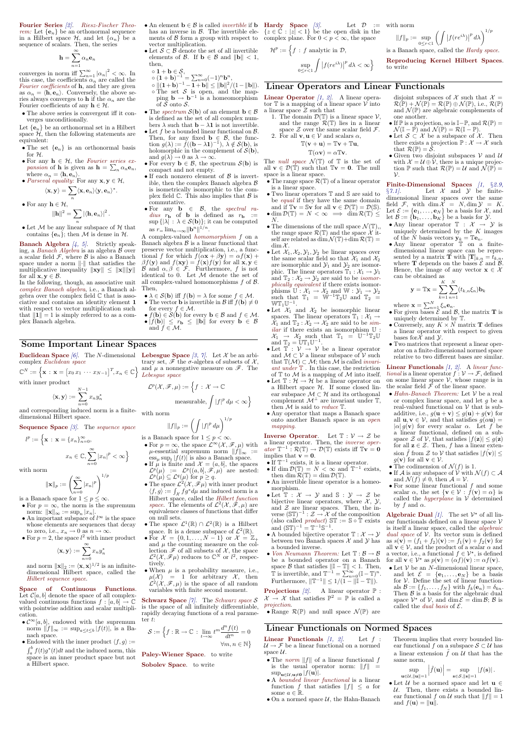Fourier Series [2]. Riesz-Fischer Theorem: Let  $\{e_n\}$  be an orthonormal sequence in a Hilbert space  $\mathcal{H}$ , and let  $\{\alpha_n\}$  be a sequence of scalars. Then, the series

$$
\mathbf{h} = \sum_{n=1}^{\infty} \alpha_n \mathbf{e}_n
$$

converges in norm iff  $\sum_{n=1}^{\infty} |\alpha_n|^2 < \infty$ . In this case, the coefficients  $\alpha_n$  are called the Fourier coefficients of **h**, and they are given as  $\alpha_n = \langle \mathbf{h}, \mathbf{e}_n \rangle$ . Conversely, the above series always converges to **h** if the  $\alpha_n$  are the Fourier coefficients of any  $h \in \mathcal{H}$ .

• The above series is convergent iff it converges unconditionally.

Let  ${e_n}$  be an orthonormal set in a Hilbert space  $\hat{\mathcal{H}}$ , then the following statements are equivalent:

- The set  $\{e_n\}$  is an orthonormal basis for H.
- For any  $h \in \mathcal{H}$ , the Fourier series ex*pansion* of **h** is given as  $\mathbf{h} = \sum_{n} \alpha_n \mathbf{e}_n$ , where  $\alpha_n = \langle \mathbf{h}, \mathbf{e}_n \rangle$ .
- Parseval equality: For any  $\mathbf{x}, \mathbf{y} \in \mathcal{H}$ , ∗

$$
\langle \mathbf{x},\mathbf{y}\rangle =\sum_n \langle \mathbf{x},\mathbf{e}_n\rangle \langle \mathbf{y},\mathbf{e}_n\rangle^*.
$$

• For any 
$$
\mathbf{h} \in \mathcal{H}
$$
,

$$
\left\Vert \mathbf{h}\right\Vert ^{2}=\sum_{n}\left\vert \left\langle \mathbf{h},\mathbf{e}_{n}\right\rangle \right\vert ^{2}.
$$

• Let  $M$  be any linear subspace of  $H$  that contains  $\{e_n\}$ ; then M is dense in  $\mathcal{H}$ .

Banach Algebra  $[4, 5]$ . Strictly speaking, a Banach Algebra is an algebra B over a scalar field  $\mathcal{F},$  where  $\mathcal B$  is also a Banach space under a norm  $\|\cdot\|$  that satisfies the multiplicative inequality  $\|\mathbf{x}\mathbf{y}\| \leq \|\mathbf{x}\| \|\mathbf{y}\|$ for all  $\mathbf{x}, \mathbf{y} \in \mathcal{B}$ .

In the following, though, an associative unit complex Banach algebra, i.e., a Banach algebra over the complex field  $\mathbb C$  that is associative and contains an identity element 1 with respect to vector multiplication such that  $\|\mathbf{1}\| = 1$  is simply referred to as a complex Banach algebra.

**Euclidean Space** [6]. The N-dimensional Lebesgue Space [3, 7]. Let X be an arbicomplex Euclidean space

 $\mathbb{C}^N := \left\{ \mathbf{x} : \mathbf{x} = [x_0 x_1 \cdots x_{N-1}]^T, x_n \in \mathbb{C} \right\}$  and  $\mu$  a nonnegative measure on  $\mathscr{F}$ . The

 $n=0$ and norm  $\|\mathbf{x}\|_2 := \langle \mathbf{x}, \mathbf{x} \rangle^{1/2}$  is an infinitedimensional Hilbert space, called the

 $\int_a^b f(t)g^*(t)dt$  and the induced norm, this space is an inner product space but not a Hilbert space.

Lebesgue space  $\mathcal{L}^p(\mathcal{X}, \mathscr{F}, \mu) := \Big\{ f \,:\, \mathcal{X} \to \mathbb{C}$ 

trary set,  $\mathscr F$  the  $\sigma$ -algebra of subsets of  $\mathcal X$ ,

- is a Banach space for  $1 \leq p < \infty$ . • For  $p = \infty$ , the space  $\mathcal{L}^{\infty}(\mathcal{X}, \mathscr{F}, \mu)$  with
- $\mu$ -essential supremum norm  $||f||_{\infty}$  :=  $\operatorname{ess}_{\mu} \operatorname{sup}_{t} |f(t)|$  is also a Banach space.
	- If  $\mu$  is finite and  $\mathcal{X} = (a, b]$ , the spaces  $\mathcal{L}^p(\mu) \;\; := \;\; \mathcal{L}^p((a,b],\mathscr{F},\mu) \quad \text{are \; nested:}$  $\mathcal{L}^p(\mu) \subseteq \mathcal{L}^q(\mu)$  for  $p \geq q$ .
	- The space  $\mathcal{L}^2(\mathcal{X}, \mathscr{F}\mu)$  with inner product  $\langle f, g \rangle := \int_{\mathcal{X}} f g^* d\mu$  and induced norm is a Hilbert space, called the Hilbert function space. The elements of  $\mathcal{L}^2(\mathcal{X},\tilde{\mathscr{F}},\mu)$  are equivalence classes of functions that differ on null sets.

• The space  $\mathcal{L}^1(\mathbb{R}) \cap \mathcal{L}^2(\mathbb{R})$  is a Hilbert space. It is a dense subspace of  $\mathcal{L}^2(\mathbb{R})$ .

• For  $\mathcal{X} = \{0, 1, \ldots, N-1\}$  or  $\mathcal{X} = \mathbb{Z}_+$ and  $\mu$  the counting measure on the collection  $\mathscr{F}$  of all subsets of  $\mathcal{X}$ , the space<br>  $\mathcal{C}^2(\mathcal{X}, \mathscr{F}_U)$  reduces to  $\mathbb{C}^N$  or  $l^2$  respectively  $\mathcal{L}$  $(\mathcal{X}, \mathscr{F}\mu)$  reduces to  $\mathbb{C}^N$  or  $l^2$ , respecLet  $\mathcal{D} :=$  with norm

 $||f||_p := \sup_{0 \le r < 1}$  $\left(\int \left|f(re^{i\lambda})\right|\right)$  $p \frac{d\lambda}{d\lambda} \bigg)^{1/p}$ 

A complex-valued homomorphism f on a Banach algebra  $\beta$  is a linear functional that preserve vector multiplication, i.e., a functional f for which  $f(\alpha x + \beta y) = \alpha f(x) +$  $\beta f(\mathbf{y})$  and  $f(\mathbf{xy}) = f(\mathbf{x})f(\mathbf{y})$  for all  $\mathbf{x}, \mathbf{y} \in$ B and  $\alpha, \beta \in \mathcal{F}$ . Furthermore, f is not identical to 0. Let  $M$  denote the set of all complex-valued homomorphisms  $f$  of  $\beta$ . Then,

- $\lambda \in \mathcal{S}(\mathbf{b})$  iff  $f(\mathbf{b}) = \lambda$  for some  $f \in \mathcal{M}$ .
- The vector **b** is invertible in  $\mathcal{B}$  iff  $f(\mathbf{b}) \neq 0$ for every  $f \in \mathcal{M}$ .
- $f(\mathbf{b}) \in \mathcal{S}(\mathbf{b})$  for every  $\mathbf{b} \in \mathcal{B}$  and  $f \in \mathcal{M}$ . •  $|f(\mathbf{b})| \leq r_{\mathbf{b}} \leq ||\mathbf{b}||$  for every  $\mathbf{b} \in \mathcal{B}$ and  $f \in \mathcal{M}$ .

 $\quad {\bf Hardy} \quad {\bf Space} \quad {\color{black} [3]}. \qquad \qquad {\rm Let} \ \ {\cal D} \ \ :=$  ${z \in \check{C} : |z| < 1}$  be the open disk in the

• When  $\mu$  is a probability measure, i.e.,  $\mu(\mathcal{X}) = 1$  for arbitrary X, then  $\mathcal{L}^2(\mathcal{X},\mathcal{F},\mu)$  is the space of all random variables with finite second moment.

**Schwarz Space** [7]. The Schwarz space  $S$ is the space of all infinitely differentiable, rapidly decaying functions of a real parameter t:

 $\mathcal{S} := \Big\{ f: \mathbb{R} \to \mathbb{C} \, : \, \lim_{t \to \infty} t^{m} \frac{d^{n} f(t)}{dt^{n}}$  $\frac{J(v)}{dt^n} = 0$  $\forall m, n \in \mathbb{N}\}$ 

## Some Important Linear Spaces

with inner product

The *null space*  $\mathcal{N}(\mathbb{T})$  of  $\mathbb{T}$  is the set of all  $\mathbf{v} \in \mathcal{D}(\mathbb{T})$  such that  $\mathbb{T}\mathbf{v} = \mathbf{0}$ . The null space is a linear space.

$$
\langle \mathbf{x},\mathbf{y}\rangle :=\sum_{n=0}^{N-1}x_ny_n^*
$$

and corresponding induced norm is a finitedimensional Hilbert space.

#### Sequence Space  $\beta$ . The sequence space

 $l^{p} := \Big\{ \mathbf{x} \, : \, \mathbf{x} = \{x_{n}\}_{n=0}^{\infty},$  $x_n \in \mathbb{C}, \sum_{n=1}^{\infty}$  $n=0$  $|x_n|^p < \infty$ 

with norm

$$
\|\mathbf{x}\|_p := \left(\sum_{n=0}^{\infty} |x_n|^p\right)^{1/p}
$$

is a Banach space for  $1 \le p \le \infty$ .

- For  $p = \infty$ , the norm is the supremum norm:  $\|\mathbf{x}\|_{\infty} := \sup_n |x_n|$ .
- An important subspace of  $l^{\infty}$  is the space whose elements are sequences that decay to zero, i.e.,  $x_n \to 0$  as  $n \to \infty$ .
- For  $p=2$ , the space  $l^2$  with inner product

$$
\langle \mathbf{x},\mathbf{y}\rangle :=\sum^{\infty}x_{n}y_{n}^{*}
$$

- An element  $\mathbf{b} \in \mathcal{B}$  is called *invertible* if  $\mathbf{b}$ has an inverse in  $\mathcal{B}$ . The invertible elements of B form a group with respect to complex plane. For  $0 < p < \infty$ , the space vector multiplication.
- $\bullet$  Let  $\mathcal{S} \subset \mathcal{B}$  denote the set of all invertible elements of  $\mathcal{B}$ . If  $\mathbf{b} \in \mathcal{B}$  and  $\|\mathbf{b}\| < 1$ , then,
- $\circ$  1 +  $\mathbf{b} \in \mathcal{S},$
- $\circ (1+b)^{-1} = \sum_{n=0}^{\infty} (-1)^n b^n,$  $\|\Phi\|_2 \circ \|\mu(\mathbf{1}+\mathbf{b})^{-1} - \mathbf{1} + \mathbf{b}\| \le \|\mathbf{b}\|^2 / (1 - \|\mathbf{b}\|).$  $\circ$  The set S is open, and the mapping  $\mathbf{b} \to \mathbf{b}^{-1}$  is a homeomorphism of  $S$  onto  $S$ .
- The spectrum  $\mathcal{S}(\mathbf{b})$  of an element  $\mathbf{b} \in \mathcal{B}$ is defined as the set of all complex numbers  $\lambda$  such that **b** −  $\lambda$ **1** is not invertible.
- Let f be a bounded linear functional on  $\beta$ . Then, for any fixed **b**  $\in$   $\mathcal{B}$ , the function  $g(\lambda) := \check{f}((\mathbf{b} - \lambda \mathbf{1})^{-1}), \lambda \notin \mathcal{S}(\mathbf{b}),$  is holomorphic in the complement of  $S(\mathbf{b})$ , and  $g(\lambda) \to 0$  as  $\lambda \to \infty$ .
- For every  $\mathbf{b} \in \mathcal{B}$ , the spectrum  $\mathcal{S}(\mathbf{b})$  is compact and not empty.
- If each nonzero element of  $\beta$  is invertible, then the complex Banach algebra B is isometrically isomorphic to the complex field  $\mathbb C.$  This also implies that  $\mathcal B$  is commutative.
- For any  $\mathbf{b} \in \mathcal{B}$ , the spectral radius  $r_{\mathbf{b}}$  of **b** is defined as  $r_{\mathbf{b}} :=$  $\sup \{|\lambda| : \lambda \in \mathcal{S}(\mathbf{b})\}$ ; it can be computed as  $r = \lim_{n \to \infty} ||\mathbf{b}^n||^{1/n}$ .

Hilbert sequence space.

- The range space  $\mathcal{R}(\mathbb{T})$  of a linear operator is a linear space.
- Two linear operators T and S are said to be equal if they have the same domain and if  $\mathbb{T}\mathbf{v} = \mathbb{S}\mathbf{v}$  for all  $\mathbf{v} \in \mathcal{D}(\mathbb{T}) = \mathcal{D}(\mathbb{S})$ .
- dim  $\mathcal{D}(\mathbb{T}) = N < \infty \implies \dim \mathcal{R}(\mathbb{T}) \leq$  $N$ .
- The dimensions of the null space  $\mathcal{N}(\mathbb{T}),$ the range space  $\mathcal{R}(\mathbb{T})$  and the space  $\mathcal{X}$  itself are related as  $\dim \mathcal{N}(\mathbb{T})+\dim \mathcal{R}(\mathbb{T})=$  $\dim \mathcal{X}$ .
- Let  $\mathcal{X}_1, \mathcal{X}_2, \mathcal{Y}_1, \mathcal{Y}_2$  be linear spaces over the same scalar field so that  $\mathcal{X}_1$  and  $\mathcal{X}_2$ are isomorphic and  $\mathcal{Y}_1$  and  $\mathcal{Y}_2$  are isomorphic. The linear operators  $\mathbb{T}_1 : \mathcal{X}_1 \to \mathcal{Y}_1$ and  $\mathbb{T}_2 : \mathcal{X}_2 \to \mathcal{Y}_2$  are said to be *isomor*phically equivalent if there exists isomorphisms  $\mathbb{U}$  :  $\mathcal{X}_1 \rightarrow \mathcal{X}_2$  and  $\mathbb{W}$  :  $\mathcal{Y}_1 \rightarrow \mathcal{Y}_2$ such that  $T_1 = \overline{W}^{-1}T_2\mathbb{U}$  and  $T_2 =$  $\mathbb{WT}_{1}\mathbb{U}^{-1}.$
- Let  $\mathcal{X}_1$  and  $\mathcal{X}_2$  be isomorphic linear spaces. The linear operators  $\mathbb{T}_1 : \mathcal{X}_1 \rightarrow$  $\mathcal{X}_1$  and  $\mathbb{T}_2 : \mathcal{X}_2 \to \mathcal{X}_2$  are said to be sim*ilar* if there exists an isomorphism  $\mathbb{U}$ :  $\mathcal{X}_1 \rightarrow \mathcal{X}_2$  such that  $\mathbb{T}_1 = \mathbb{U}^{-1} \mathbb{T}_2 \mathbb{U}$ and  $\mathbb{T}_2 = \mathbb{U} \mathbb{T}_1 \mathbb{U}^{-1}$ .
- Let  $\mathbb{T} : \mathcal{V} \to \mathcal{V}$  be a linear operator and  $\mathcal{M} \subset \mathcal{V}$  a linear subspace of  $\mathcal{V}$  such that  $\mathbb{T}(\mathcal{M}) \subset \mathcal{M}$ ; then M is called *invari*- $\emph{ant under} \mathbb{T}$  . In this case, the restriction of  $\mathbb T$  to  $\mathcal M$  is a mapping of  $\mathcal M$  into itself.
- Let  $\mathbb{T} : \mathcal{H} \to \mathcal{H}$  be a linear operator on a Hilbert space  $H$ . If some closed linear subspace  $\mathcal{M} \subset \mathcal{H}$  and its orthogonal complement  $\mathcal{M}^{\perp}$  are invariant under  $\mathbb{T}$ , then  $M$  is said to *reduce*  $T$ .
- Any operator that maps a Banach space onto another Banach space is an open mapping.

**Inverse Operator.** Let  $\mathbb{T}: \mathcal{V} \to \mathcal{Z}$  be a linear operator. Then, the inverse operator  $\mathbb{T}^{-1} : \mathcal{R}(\mathbb{T}) \to \mathcal{D}(\mathbb{T})$  exists iff  $\mathbb{T}v = 0$ implies that  $\vec{v} = 0$ .

- If  $\mathbb{T}^{-1}$  exists, it is a linear operator.
- If dim  $\mathcal{D}(\mathbb{T}) = N < \infty$  and  $\mathbb{T}^{-1}$  exists, then dim  $\mathcal{R}(\mathbb{T}) = \dim \mathcal{D}(\mathbb{T})$ .
- An invertible linear operator is a homeomorphism.
- Let  $\mathbb{T}: \mathcal{X} \to \mathcal{Y}$  and  $\mathbb{S}: \mathcal{Y} \to \mathcal{Z}$  be bijective linear operators, where  $\mathcal{X}, \mathcal{Y},$ and  $Z$  are linear spaces. Then, the inverse  $(\mathbb{ST})^{-1} : \mathcal{Z} \to \mathcal{X}$  of the composition (also called *product*)  $\mathbb{ST} := \mathbb{S} \circ \mathbb{T}$  exists and  $(\mathbb{ST})^{-1} = \mathbb{T}^{-1} \mathbb{S}^{-1}$ .
- $\bullet$  A bounded bijective operator  $\mathbb{T}:\mathcal{X}\rightarrow\mathcal{Y}$ between two Banach spaces  $\mathcal X$  and  $\mathcal Y$  has a bounded inverse.
- Von Neumann Theorem: Let  $\mathbb{T} : \mathcal{B} \to \mathcal{B}$
- disjoint subspaces of  $\mathcal X$  such that  $\mathcal X =$  $\mathcal{R}(\mathbb{P}) + \mathcal{N}(\mathbb{P}) = \mathcal{R}(\mathbb{P}) \oplus \mathcal{N}(\mathbb{P}), \text{ i.e., } \mathcal{R}(\mathbb{P})$ and  $\mathcal{N}(\mathbb{P})$  are algebraic complements of one another.
- If  $\mathbb P$  is a projection, so is  $\mathbb I \mathbb P$ , and  $\mathcal R(\mathbb P) =$  $\mathcal{N}(\mathbb{I}-\mathbb{P})$  and  $\mathcal{N}(\mathbb{P})=\mathcal{R}(\mathbb{I}-\mathbb{P})$ .
- Let  $S \subset \mathcal{X}$  be a subspace of  $\mathcal{X}$ . Then there exists a projection  $\mathbb{P}: \mathcal{X} \to \mathcal{X}$  such that  $\mathcal{R}(\mathbb{P}) = \overline{\mathcal{S}}$ .
- Given two disjoint subspaces  $V$  and  $U$ with  $\mathcal{X} = \mathcal{U} \oplus \mathcal{V}$ , there is a unique projection  $\mathbb P$  such that  $\mathcal R(\mathbb P) = \mathcal U$  and  $\mathcal N(\mathbb P) =$  $\mathcal{V}$ .

Finite-Dimensional Spaces  $[1, \S2.9, \S2.9]$  $\S 7.1$ . Let X and Y be finitedimensional linear spaces over the same field  $\mathcal{F}$ , with dim  $\mathcal{X} = N$ , dim  $\mathcal{Y} = K$ . Let  $\mathcal{E} := \{\mathbf{e}_1, \dots, \mathbf{e}_N\}$  be a basis for  $\mathcal{X}$ , and let  $\mathcal{B} := {\mathbf{b}_1, \ldots, \mathbf{b}_K}$  be a basis for  $\mathcal{Y}$ .

Space of Continuous Functions. Let  $C[a, b]$  denote the space of all complexvalued continuous functions  $f : [a, b] \to \mathbb{C}$ with pointwise addition and scalar multiplication.

- $\mathcal{C}^{\infty}[a, b]$ , endowed with the supremum norm  $||f||_{\infty} := \sup_{a \leq t \leq b} |f(t)|$ , is a Banach space.
- Endowed with the inner product  $\langle f, g \rangle :=$

**Projections** [2]. A linear operator  $\mathbb{P}$  :  $\mathcal{X} \to \mathcal{X}$  that satisfies  $\mathbb{P}^2 = \mathbb{P}$  is called a projection.

• Range  $\mathcal{R}(\mathbb{P})$  and null space  $\mathcal{N}(\mathbb{P})$  are

• Let  $V$  be an *N*-dimensional linear space, and let  $\mathcal{E} = \{\mathbf{e}_1, \dots, \mathbf{e}_N\}$  be a basis for  $V$ . Define the set of linear functionals  $\mathcal{B} := \{f_1, \ldots, f_N\}$  with  $f_k(\mathbf{e}_n) = \delta_{kn}$ . Then  $\beta$  is a basis for the algebraic dual space  $V^*$  of V, and dim  $\mathcal{E} = \dim \mathcal{B}$ ;  $\mathcal{B}$  is called the *dual basis* of  $\mathcal{E}$ .

$$
measurable, \int |f|^p \, d\mu < \infty
$$

o

with norm

 $||f||_p := \left(\int |f|^p \, d\mu\right)^{1/p}$ 

- Any linear operator  $\mathbb{T} : \mathcal{X} \to \mathcal{Y}$  is uniquely determined by the  $K$  images of the  $\check{N}$  basis vectors  $\check{\mathbf{y}}_k = \mathbb{Te}_n$ .
- Any linear operator  $\overline{\mathbb{T}}$  on a finitedimensional linear space can be represented by a matrix **T** with  $[\mathbf{T}]_{k,n} = \overline{t}_{k,n}$ , where **T** depends on the bases  $\mathcal{E}$  and  $\mathcal{B}$ . Hence, the image of any vector  $\mathbf{x} \in \mathcal{X}$ can be obtained as

- For given bases  $\tilde{\mathcal{E}}$  and  $\mathcal{B}$ , the matrix **T** is uniquely determined by T.
- Conversely, any  $K \times N$  matrix **T** defines a linear operator with respect to given bases for  $\mathcal X$  and  $\mathcal Y$ .
- Two matrices that represent a linear operator on a finite-dimensional normed space relative to two different bases are similar.

**Linear Functionals**  $[1, 2]$ . A linear functional is a linear operator  $f: \mathcal{V} \to \mathcal{F}$ , defined on some linear space  $V$ , whose range is in the scalar field  $\mathcal F$  of the linear space.

- Hahn-Banach Theorem: Let  $V$  be a real or complex linear space, and let g be a real-valued functional on  $V$  that is subadditive, i.e.,  $g(\mathbf{u} + \mathbf{v}) \leq g(\mathbf{u}) + g(\mathbf{v})$  for all  $\mathbf{u}, \mathbf{v} \in \mathcal{V}$ , and that satisfies  $g(\alpha \mathbf{u}) =$  $|\alpha| g(\mathbf{v})$  for every scalar  $\alpha$ . Let f be a linear functional, defined on a subspace Z of V, that satisfies  $|f(\mathbf{z})| \leq g(\mathbf{z})$ for all  $z \in \mathcal{Z}$ . Then, f has a linear extension  $\tilde{f}$  from  $\mathcal Z$  to  $\mathcal V$  that satisfies  $|f(\mathbf{v})| \leq$  $g(\mathbf{v})$  for all  $\mathbf{v} \in \mathcal{V}$ .
- The codimension of  $\mathcal{N}(f)$  is 1.
- If A is any subspace of  $\mathcal V$  with  $\mathcal N(f) \subset \mathcal A$ and  $\mathcal{N}(f) \neq 0$ , then  $\mathcal{A} = \mathcal{V}$ .
- For some linear functional  $f$  and some scalar  $\alpha$ , the set  $\{v \in \mathcal{V} : \check{f}(v) = \alpha\}$  is called the *hyperplane* in  $\dot{V}$  determined by f and  $\alpha$ .

Algebraic Dual  $\left|1\right|$ . The set  $\mathcal{V}^*$  of all linear functionals defined on a linear space  $V$ is itself a linear space, called the algebraic dual space of  $V$ . Its vector sum is defined as  $s(\mathbf{v}) = (f_1 + f_2)(\mathbf{v}) := f_1(\mathbf{v}) + f_2(\mathbf{v})$  for all  $\mathbf{v} \in \mathcal{V}$ , and the product of a scalar  $\alpha$  and a vector, i.e., a functional  $f \in \mathcal{V}^*$ , is defined

tively.

Paley-Wiener Space. to write

Sobolev Space. to write

be a bounded operator on a Banach for all  $\mathbf{v} \in \mathcal{V}^*$  as  $p(\mathbf{v}) = (\alpha f)(\mathbf{v}) := \alpha f(\mathbf{v})$ . space B that satisfies  $\|\mathbb{I} - \mathbb{I}\| < 1$ . Then,  $\mathbb{T}$  is invertible, and  $\mathbb{T}^{-1} = \sum_{n=0}^{\infty} (\mathbb{I} - \mathbb{T})^n$ . Furthermore,  $\|\mathbb{T}^{-1}\| \leq 1/(\overline{1} - \|\mathbb{I} - \mathbb{T}\|).$ 

$$
\mathcal{H}^{p} := \left\{ f : f \text{ analytic in } \mathcal{D}, \sup_{0 \le r < 1} \int \left| f(re^{i\lambda}) \right|^{p} d\lambda < \infty \right\}
$$

is a Banach space, called the Hardy space.

Reproducing Kernel Hilbert Spaces. to write

#### Linear Operators and Linear Functionals

**Linear Operator** [1, 2]. A linear operator  $\mathbb T$  is a mapping of a linear space  $\mathcal V$  into a linear space  $\mathcal Z$  such that

1. The domain  $\mathcal{D}(\mathbb{T})$  is a linear space  $\mathcal{V}$ , and the range  $\mathcal{R}(\mathbb{T})$  lies in a linear space  $\mathcal Z$  over the same scalar field  $\mathcal F$ .

2. For all 
$$
\mathbf{v}, \mathbf{u} \in \mathcal{V}
$$
 and scalars  $\alpha$ ,

$$
\mathbb{T}(\mathbf{v} + \mathbf{u}) = \mathbb{T}\mathbf{v} + \mathbb{T}\mathbf{u},
$$

$$
\mathbb{T}(\alpha \mathbf{v}) = \alpha \mathbb{T} \mathbf{v}.
$$

$$
\mathbf{y} = \mathbb{T}\mathbf{x} = \sum_{k=1}^{K} \sum_{n=1}^{N} (t_{k,n} \xi_n) \mathbf{b}_k
$$

where  $\mathbf{x} = \sum_{n=1}^{N} \xi_n \mathbf{e}_n$ .

## Linear Functionals on Normed Spaces

Linear Functionals  $[1, 2]$ . Let  $f$ :  $\mathcal{U}\rightarrow \mathcal{F}$  be a linear functional on a normed space  $\mathcal{U}$ .

- The norm  $||f||$  of a linear functional f is the usual operator norm:  $||f|| =$  $\sup_{\mathbf{u}\in\mathcal{U},\mathbf{u}\neq\mathbf{0}}|f(\mathbf{u})|.$
- A bounded linear functional is a linear function f that satisfies  $||f|| \leq a$  for some  $a \in \mathbb{R}$ .
- On a normed space  $U$ , the Hahn-Banach

Theorem implies that every bounded linear functional f on a subspace  $S \subset \mathcal{U}$  has a linear extension  $\tilde{f}$  on U that has the same norm,

$$
\sup_{\mathbf{u}\in\mathcal{U}, \|\mathbf{u}\|=1} \left|\tilde{f}(\mathbf{u})\right| = \sup_{\mathbf{s}\in\mathcal{S}, \|\mathbf{s}\|=1} |f(\mathbf{s})|.
$$

• Let  $U$  be a normed space and let  $\mathbf{u} \in$  $U$ . Then, there exists a bounded linear functional f on U such that  $||f|| = 1$ and  $f(\mathbf{u}) = ||\mathbf{u}||$ .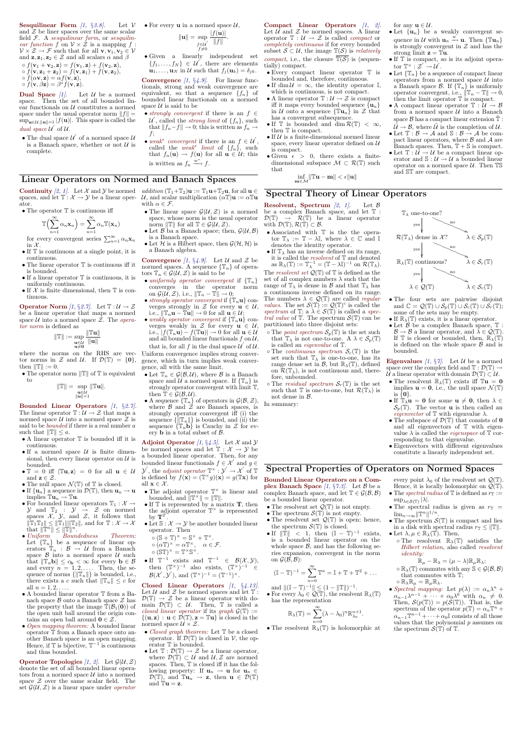**Sesquilinear Form** [1, §3.8]. Let  $V$ and  $Z$  be liner spaces over the same scalar field  $F$ . A sesquilinear form, or sesquilinear function f on  $V \times \mathcal{Z}$  is a mapping f:  $\mathcal{V} \times \mathcal{Z} \to \mathcal{F}$  such that for all  $\mathbf{v}, \mathbf{v}_1, \mathbf{v}_2 \in \mathcal{V}$ and  $\mathbf{z}, \mathbf{z}_1, \mathbf{z}_2 \in \mathcal{Z}$  and all scalars  $\alpha$  and  $\beta$  $\circ$   $f(\mathbf{v}_1 + \mathbf{v}_2, \mathbf{z}) = f(\mathbf{v}_1, \mathbf{z}) + f(\mathbf{v}_2, \mathbf{z}),$  $\circ$   $f(\mathbf{v}, \mathbf{z}_1 + \mathbf{z}_2) = f(\mathbf{v}, \mathbf{z}_1) + f(\mathbf{v}, \mathbf{z}_2),$ 

- $\circ$   $f(\alpha \mathbf{v}, \mathbf{z}) = \alpha f(\mathbf{v}, \mathbf{z}),$
- $\circ f(\mathbf{v},\beta \mathbf{z})=\beta ^{*}f(\mathbf{v},\mathbf{z}).$

**Dual Space**  $\begin{bmatrix} 1 \end{bmatrix}$ . Let  $\mathcal U$  be a normed space. Then the set of all bounded linear functionals on  $U$  constitutes a normed space under the usual operator norm  $||f|| =$  $\sup_{\mathbf{u}\in\mathcal{U},\|\mathbf{u}\|=1} |f(\mathbf{u})|$ . This space is called the dual space  $\mathcal{U}'$  of  $\mathcal{U}$ .

• The dual space  $\mathcal{U}^{'}$  of a normed space  $\mathcal{U}$ is a Banach space, whether or not  $\mathcal U$  is complete.

• Given a linearly independent set  ${f_1,\ldots,f_N} \in \mathcal{U}$ , there are elements  $\mathbf{u}_1, \ldots, \mathbf{u}_N$  in U such that  $f_i(\mathbf{u}_k) = \delta_{ik}$ .

**Convergence** [1,  $\S 4.9$ ]. For linear functionals, strong and weak convergence are equivalent, so that a sequence  $\{f_n\}$  of bounded linear functionals on a normed space  $U$  is said to be

- strongly convergent if there is an  $f \in$  $\mathcal{U}^{'}$ , called the *strong limit* of  $\{f_n\}$ , such that  $||f_n-f|| \to 0$ ; this is written as  $f_n \to$ f;
- weak<sup>\*</sup> convergent if there is an  $f \in \mathcal{U}'$ , called the *weak<sup>\*</sup> limit* of  $\{f_n\}$ , such that  $f_n(\mathbf{u}) \to f(\mathbf{u})$  for all  $\mathbf{u} \in \mathcal{U}$ ; this is written as  $f_n \xrightarrow{w^*} f$ .

• For every **u** in a normed space 
$$
U
$$
,

**Continuity** [2, 1]. Let X and Y be normed addition  $(\mathbb{T}_1 + \mathbb{T}_2) \mathbf{u} := \mathbb{T}_1 \mathbf{u} + \mathbb{T}_2 \mathbf{u}$ , for all  $\mathbf{u} \in$ spaces, and let  $\mathbb{T}: \mathcal{X} \to \mathcal{Y}$  be a linear oper-  $\mathcal{U}$ , and scalar multiplication  $(\alpha \mathbb{T})\mathbf{u} := \alpha \mathbb{T}\mathbf{u}$ ator.

• The operator  $\mathbb T$  is continuous iff

$$
\|\mathbf{u}\| = \sup_{\substack{f \in \mathcal{U} \\ f \neq 0}} \frac{|f(\mathbf{u})|}{\|f\|}.
$$

- If  $T$  is continuous at a single point, it is continuous.
- $\bullet$  The linear operator  $\mathbb T$  is continuous iff it is bounded.
- If a linear operator  $\mathbb T$  is continuous, it is uniformly continuous.
- If  $X$  is finite dimensional, then  $\mathbb T$  is continuous.

**Operator Norm**  $\left[1, \S 2.7\right]$ . Let  $\mathbb{T}: \mathcal{U} \to \mathcal{Z}$ be a linear operator that maps a normed space  $U$  into a normed space  $\overline{Z}$ . The *opera*tor norm is defined as

where the norms on the RHS are vec-Uniform convergence implies strong convertor norms in Z and U. If  $\mathcal{D}(\mathbb{T}) = \{0\},\$ then  $\|\mathbb{T}\| := 0$ .

• The operator norm  $\Vert \mathbb{T} \Vert$  of  $\mathbb{T}$  is equivalent to

### Linear Operators on Normed and Banach Spaces

$$
\mathbb{T}\Bigl(\sum_{n=1}^\infty \alpha_n \mathbf{x}_n\Bigr)=\sum_{n=1}^\infty \alpha_n \mathbb{T}(\mathbf{x}_n)
$$

for every convergent series  $\sum_{n=1}^{\infty} \alpha_n \mathbf{x}_n$ in  $\mathcal{X}$ .

• Open mapping theorem: A bounded linear operator T from a Banach space onto another Banach space is an open mapping. Hence, if  $\mathbb T$  is bijective,  $\mathbb T^{-1}$  is continuous and thus bounded.

**Operator Topologies** [1, 2]. Let  $\mathcal{G}(\mathcal{U}, \mathcal{Z})$ denote the set of all bounded linear operators from a normed space  $\mathcal U$  into a normed space  $Z$  over the same scalar field. The set  $\mathcal{G}(\mathcal{U}, \mathcal{Z})$  is a linear space under *operator* 

• If  $T^{-1}$  exists and T  $^{-1}$   $\in$   $\mathcal{B}(\mathcal{X},\mathcal{Y}),$ then  $(\mathbb{T}^\times)^{-1}$  also exists,  $(\mathbb{T}^\times)^{-1} \in$  $\mathcal{B}(\mathcal{X}', \mathcal{Y}'),$  and  $(\mathbb{T}^\times)^{-1} = (\mathbb{T}^{-1})^\times$ .

Closed Linear Operators  $(1, \S_4.13)$ . Let  $U$  and  $Z$  be normed spaces and let  $T$ :  $\mathcal{D}(\mathbb{T}) \to \mathcal{Z}$  be a linear operator with domain  $\mathcal{D}(\mathbb{T}) \subset \mathcal{U}$ . Then,  $\mathbb{T}$  is called a closed linear operator if its graph  $\mathcal{G}(\mathbb{T}) :=$  $\{(\mathbf{u}, \mathbf{z}) : \mathbf{u} \in \overline{\mathcal{D}}(\mathbb{T}), \mathbf{z} = \mathbb{T}\mathbf{u}\}\$ is closed in the normed space  $\mathcal{U} \times \mathcal{Z}$ .

- *Closed graph theorem:* Let  $\mathbb T$  be a closed operator. If  $\mathcal{D}(\mathbb{T})$  is closed in  $\mathcal{V}$ , the operator T is bounded.
- Let  $\mathbb{T} : \mathcal{D}(\mathbb{T}) \to \mathcal{Z}$  be a linear operator, where  $\mathcal{D}(\mathbb{T}) \subset \mathcal{U}$  and  $\mathcal{U}, \mathcal{Z}$  are normed spaces. Then, T is closed iff it has the following property: If  $u_n \to u$  for  $u_n \in$  $\mathcal{D}(\mathbb{T})$ , and  $\mathbb{T} \mathbf{u}_n \to \mathbf{z}$ , then  $\mathbf{u} \in \mathcal{D}(\mathbb{T})$ and  $\mathbb{T} \mathbf{u} = \mathbf{z}$ .

$$
\|\mathbb{T}\|:=\sup_{\substack{\mathbf{u}\in\mathcal{U}\\ \mathbf{u}\neq\mathbf{0}}}\frac{\|\mathbb{T}\mathbf{u}\|}{\|\mathbf{u}\|}
$$

- The linear space  $\mathcal{G}(\mathcal{U}, \mathcal{Z})$  is a normed space, whose norm is the usual operator norm  $\|\mathbb{T}\|$  for all  $\mathbb{T} \in \mathcal{G}(\mathcal{U}, \mathcal{Z})$ .
- Let  $\mathcal B$  ba a Banach space; then,  $\mathcal G(\mathcal U,\mathcal B)$ is a Banach space.
- Let  $H$  is a Hilbert space, then  $\mathcal{G}(\mathcal{H}, \mathcal{H})$  is a Banach algebra.

**Convergence** [1, §4.9]. Let U and Z be normed spaces. A sequence  $\{\mathbb{T}_n\}$  of operators  $\mathbb{T}_n \in \mathcal{G}(\mathcal{U}, \mathcal{Z})$  is said to be

- uniformly operator convergent if  $\{T_n\}$ converges in the operator norm on  $\mathcal{G}(\mathcal{U}, \mathcal{Z}),$  i.e.,  $\|\mathbb{T}_n - \mathbb{T}\| \to 0;$
- strongly operator convergent if  $\{\mathbb{T}_n\mathbf{u}\}$  converges strongly in  $\mathcal Z$  for every  $\mathbf u \in \mathcal U$ , i.e.,  $\|\mathbb{T}_n\mathbf{u} - \mathbb{T}\mathbf{u}\| \to 0$  for all  $\mathbf{u} \in \mathcal{U}$ ;
- weakly operator convergent if  $\{\mathbb{T}_n\mathbf{u}\}\$  converges weakly in  $\mathcal Z$  for every  $\mathbf u \in \mathcal U$ , i.e.,  $|f(\mathbb{T}_n\mathbf{u}) - f(\mathbb{T}\mathbf{u})| \to 0$  for all  $\mathbf{u} \in \mathcal{U}$ and all bounded linear functionals  $f$  on  $\mathcal{U}$ , that is, for all f in the dual space  $\mathcal{U}'$  of  $\mathcal{U}$ . gence, which in turn implies weak convergence, all with the same limit.
- Let  $\mathbb{T}_n \in \mathcal{G}(\mathcal{B}, \mathcal{U})$ , where  $\mathcal B$  is a Banach space and  $\mathcal{U}$  a normed space. If  $\{\mathbb{T}_n\}$  is strongly operator convergent with limit T, then  $\mathbb{T} \in \mathcal{G}(\mathcal{B}, \mathcal{U})$ .
- A sequence  $\{\mathbb{T}_n\}$  of operators in  $\mathcal{G}(\mathcal{B},\mathcal{Z}),$ where  $\beta$  and  $\hat{Z}$  are Banach spaces, is strongly operator convergent iff (i) the sequence  $\{\|\mathbb{T}_n\|\}$  is bounded, and (ii) the sequence  $\{\mathbb{T}_n\}_{\mathbf{b}}^n\}$  is Cauchy in  $\mathcal Z$  for every **b** in a total subset of  $\beta$ .

**Adjoint Operator** [1,  $\S 4.5$ ]. Let X and Y be normed spaces and let  $\mathbb{T}: \mathcal{X} \to \mathcal{Y}$  be a bounded linear operator. Then, for any bounded linear functionals  $f \in \mathcal{X}$  and  $g \in$  $\mathcal{Y}^{'}$ , the *adjoint operator*  $\mathbb{T}^{\times}$  :  $\mathcal{Y}^{'} \to \mathcal{X}^{'}$  of  $\mathbb{T}$ is defined by  $f(\mathbf{x}) = (\mathbb{T}^\times g)(\mathbf{x}) = g(\mathbb{T} \mathbf{x})$  for all  $\mathbf{x} \in \mathcal{X}$ .

- The adjoint operator  $\mathbb{T}^\times$  is linear and bounded, and  $\|\mathbb{T}^{\times}\| = \|\mathbb{T}\|.$
- If  $T$  is represented by a matrix **T**, then the adjoint operator  $\mathbb{T}^\times$  is represented by  $\mathbf{T}^T$ .
- Let  $\mathcal{S}: \mathcal{X} \to \mathcal{Y}$  be another bounded linear operator. Then
- $\circ$   $(S + \mathbb{T})^{\times} = S^{\times} + \mathbb{T}^{\times}$ .  $\alpha(\alpha \mathbb{T})^{\times} = \alpha \mathbb{T}^{\times}, \quad \alpha \in \mathcal{F}.$ 
	- $\circ$  (ST)<sup> $\times$ </sup> = T<sup> $\times$ </sup>S<sup> $\times$ </sup>.
	-

$$
\|\mathbb{T}\|=\sup_{\substack{\mathbf{u}\in\mathcal{U}\\ \|\mathbf{u}\|=1}}\|\mathbb{T}\mathbf{u}\|.
$$

Bounded Linear Operators  $[1, \S2.7]$ . The linear operator  $\mathbb{T} : \mathcal{U} \to \mathcal{Z}$  that maps a normed space  $U$  into a normed space  $Z$  is said to be bounded if there is a real number a such that  $\|\mathbb{T}\| \leq a$ .

- A linear operator  $\mathbb T$  is bounded iff it is continuous.
- If a normed space  $U$  is finite dimensional, then every linear operator on  $\mathcal U$  is bounded.
- $\mathbb{T} = 0$  iff  $\langle \mathbb{T} \mathbf{u}, \mathbf{z} \rangle = 0$  for all  $\mathbf{u} \in \mathcal{U}$ and  $z \in \mathcal{Z}$ .
- The null space  $\mathcal{N}(\mathbb{T})$  of  $\mathbb{T}$  is closed.
- If  $\{u_n\}$  a sequence in  $\mathcal{D}(\mathbb{T})$ , then  $u_n \to u$ implies  $\mathbb{T} \mathbf{u}_n \to \mathbb{T} \mathbf{u}$ .
- For bounded linear operators  $\mathbb{T}_1 : \mathcal{X} \to$  $\mathcal Y$  and  $\mathbb T_2$  :  $\mathcal Y$   $\rightarrow$   $\mathcal Z$  on normed spaces  $\mathcal{X}, \mathcal{Y}, \text{ and } \mathcal{Z}, \text{ it follows that}$  $\|\mathbb{T}_1\mathbb{T}_2\| \le \|\mathbb{T}_1\| \|\mathbb{T}_2\|$ , and for  $\mathbb{T} : \mathcal{X} \to \mathcal{X}$ that  $\|\mathbb{T}^n\| \leq \|\mathbb{T}\|^{n}$ .
- Uniform Boundedness Theorem: Uniform Boundedness Theorem:<br>Let  $\{\mathbb{T}_n\}$  be a sequence of linear operators  $\mathbb{T}_n : \mathcal{B} \to \mathcal{U}$  from a Banach space  $\beta$  into a normed space  $\mathcal{U}$  such

with  $\alpha \in \mathcal{F}$ .

Compact Linear Operators  $[1, 2]$ . Let  $U$  and  $Z$  be normed spaces. A linear operator  $\mathbb{T}: \mathcal{U} \to \mathcal{Z}$  is called *compact* or completely continuous if for every bounded subset  $S \subset \mathcal{U}$ , the image  $\mathbb{T}(\mathcal{S})$  is *relatively compact*, i.e., the closure  $\overline{\mathbb{T}(\mathcal{S})}$  is (sequentially) compact.

- Let  $\{u_n\}$  be a weakly convergent sequence in  $\mathcal U$  with  $\mathbf u_n \stackrel{w}{\longrightarrow} \mathbf u$ . Then  $\{\mathbb T \mathbf u_n\}$ is strongly convergent in  $Z$  and has the strong limit  $z = T u$ .
- If  $T$  is compact, so is its adjoint operator  $\mathbb{T}^\times : \mathcal{Z}' \to \mathcal{U}'$ .
- Let  $\{\mathbb{T}_n\}$  be a sequence of compact linear operators from a normed space  $U$  into a Banach space  $\mathcal{B}$ . If  $\{\mathbb{T}_n\}$  is uniformly operator convergent, i.e.,  $\|\mathbb{T}_n - \mathbb{T}\| \to 0$ , then the limit operator  $\mathbb T$  is compact.
- A compact linear operator  $\mathbb{T} : \mathcal{U} \to \mathcal{B}$ from a normed space  $U$  into a Banach space  $\beta$  has a compact linear extension  $\tilde{\mathbb{T}}$ :  $\tilde{\mathcal{U}} \to \mathcal{B}$ , where  $\tilde{\mathcal{U}}$  is the completion of  $\mathcal{U}$ .
- Let  $\mathbb{T}: \mathcal{B} \to \mathcal{A}$  and  $\mathbb{S}: \mathcal{B} \to \mathcal{A}$  be compact linear operators, where  $\beta$  and  $\mathcal A$  are Banach spaces. Then,  $\mathbb{T} + \mathbb{S}$  is compact.
- Let  $\mathbb{T}: \mathcal{U} \to \mathcal{U}$  be a compact linear operator and  $\mathbb{S}: \mathcal{U} \to \mathcal{U}$  a bounded linear operator on a normed space  $U$ . Then  $TS$ and ST are compact.

that  $\|\mathbb{T}_n \mathbf{b}\| \leq c_{\mathbf{b}} < \infty$  for every  $\mathbf{b} \in \mathcal{B}$ and every  $n = 1, 2, \ldots$  Then, the sequence of norms  $\{\|\mathbb{T}_n\|\}$  is bounded, i.e., there exists a c such that  $\|\mathbb{T}_n\| \leq c$  for all  $n = 1, 2, \ldots$ .

 $\bullet$  A bounded linear operator  $\mathbb T$  from a Banach space  $\mathcal B$  onto a Banach space  $\mathcal Z$  has the property that the image  $\mathbb{T}(\mathcal{B}_1(\mathbf{0}))$  of the open unit ball around the origin contains an open ball around  $0 \in \mathcal{Z}$ .

The *resolvent set*  $\mathcal{Q}(\mathbb{T})$  of  $\mathbb{T}$  is defined as the set of all complex numbers  $\lambda$  such that the range of  $\mathbb{T}_{\lambda}$  is dense in B and that  $\mathbb{T}_{\lambda}$  has a continuous inverse defined on its range. The numbers  $\lambda \in \mathcal{Q}(\mathbb{T})$  are called *regular values*. The set  $S(\mathbb{T}) = \mathcal{Q}(\mathbb{T})^c$  is called the spectrum of  $\mathbb{T}$ ; a  $\lambda \in \mathcal{S}(\mathbb{T})$  is called a spec*tral value* of  $\mathbb{T}$ . The spectrum  $\mathcal{S}(\mathbb{T})$  can be partitioned into three disjoint sets:

- $\circ$  The *point spectrum*  $S_p(\mathbb{T})$  is the set such that  $\mathbb{T}_{\lambda}$  is not one-to-one. A  $\lambda \in \mathcal{S}_p(\mathbb{T})$ is called an eigenvalue of T.
- $\circ$  The *continuous spectrum*  $\mathcal{S}_c(\mathbb{T})$  is the set such that  $\mathbb{T}_{\lambda}$  is one-to-one, has its range dense set in  $\mathcal{B}$ , but  $\mathbb{R}_{\lambda}(\mathbb{T})$ , defined on  $\mathcal{R}(\mathbb{T}_{\lambda})$ , is not continuous and, therefore, unbounded.
- $\circ$  The residual spectrum  $\mathcal{S}_r(\mathbb{T})$  is the set such that  $\mathbb T$  is one-to-one, but  $\mathcal R(\mathbb T_{\lambda})$  is not dense in B.
- The resolvent  $\mathbb{R}_{\lambda}(\mathbb{T})$  exists iff  $\mathbb{T}u = 0$ implies  $\mathbf{u} = \mathbf{0}$ , i.e., the null space  $\mathcal{N}(\mathbb{T})$ is  $\{0\}$ .
- If  $\mathbb{T}_{\lambda} \mathbf{u} = \mathbf{0}$  for some  $\mathbf{u} \neq \mathbf{0}$ , then  $\lambda \in$  $\mathcal{S}_p(\mathbb{T})$ . The vector **u** is then called an *eigenvector* of  $\mathbb T$  with eigenvalue  $\lambda$ .
- The subspace of  $\mathcal{D}(\mathbb{T})$  that consists of **0** and all eigenvectors of T with eigenvalue  $\lambda$  is called the *eigenspace* of  $\mathbb T$  corresponding to that eigenvalue.
- Eigenvectors with different eigenvalues constitute a linearly independent set.

- The resolvent set  $\mathcal{Q}(\mathbb{T})$  is not empty.
- The spectrum  $\mathcal{S}(\mathbb{T})$  is not empty.
- The resolvent set  $\mathcal{Q}(\mathbb{T})$  is open; hence, the spectrum  $\mathcal{S}(\mathbb{T})$  is closed.
- If  $\|\mathbb{T}\| < 1$ , then  $(\mathbb{I} \mathbb{T})^{-1}$  exists, is a bounded linear operator on the whole space  $\beta$ , and has the following series expansion, convergent in the norm

every point  $\lambda_0$  of the resolvent set  $\mathcal{Q}(\mathbb{T})$ . Hence, it is locally holomorphic on  $\mathcal{Q}(\mathbb{T})$ .

- The spectral radius of  $\mathbb T$  is defined as  $r_{\mathbb T}$  :=  $\sup_{\lambda \in \mathcal{S}(\mathbb{T})} |\lambda|.$
- The spectral radius is given as  $r_{\mathbb{T}} =$  $\lim_{n\to\infty} ||\mathbb{T}^n||^{1/n}.$
- The spectrum  $\mathcal{S}(\mathbb{T})$  is compact and lies in a disk with spectral radius  $r_{\mathbb{T}} \leq ||\mathbb{T}||$ . • Let  $\lambda, \mu \in \mathbb{R}_{\lambda}(\mathbb{T})$ . Then,
	- $\circ$  The resolvent  $\mathbb{R}_{\lambda}(\mathbb{T})$  satisfies the Hilbert relation, also called resolvent identity:

for any  $\mathbf{u} \in \mathcal{U}$ .

- Every compact linear operator T is bounded and, therefore, continuous.
- If dim  $\mathcal{U} = \infty$ , the identity operator I, which is continuous, is not compact.
- A linear operator  $\mathbb{T} : \mathcal{U} \to \mathcal{Z}$  is compact iff it maps every bounded sequence  $\{u_n\}$ in U onto a sequence  $\{\mathbb{T}u_n\}$  in Z that has a convergent subsequence.
- If  $\mathbb T$  is bounded and dim  $\mathcal R(\mathbb T) < \infty$ , then T is compact.
- If  $U$  is a finite-dimensional normed linear space, every linear operator defined on  $\mathcal U$ is compact.
- Given  $\epsilon > 0$ , there exists a finitedimensional subspace  $\mathcal{M} \subset \mathcal{R}(\mathbb{T})$  such that

 $\inf_{\mathbf{m}\in\mathcal{M}}\|\mathbb{T}\mathbf{u}-\mathbf{m}\|<\epsilon\|\mathbf{u}\|$ 

#### Spectral Theory of Linear Operators

Resolvent, Spectrum  $(2, 1)$ . Let  $\beta$ be a complex Banach space, and let T :  $\mathcal{D}(\mathbb{T}) \rightarrow \mathcal{R}(\mathbb{T})$  be a linear operator with  $\mathcal{D}(\mathbb{T}), \mathcal{R}(\mathbb{T}) \subset \mathcal{B}.$ 

• Associated with T is the the operator  $\mathbb{T}_{\lambda} := \mathbb{T} - \lambda \mathbb{I}$ , where  $\lambda \in \mathbb{C}$  and  $\mathbb{I}$ denotes the identity operator.

• If  $\mathbb{T}_{\lambda}$  has an inverse defined on its range, it is called the *resolvent* of  $\mathbb T$  and denoted as  $\mathbb{R}_{\lambda}(\mathbb{T}) := \mathbb{T}_{\lambda}^{-1} = (\mathbb{T} - \lambda \mathbb{I})^{-1}$  on  $\mathcal{R}(\mathbb{T}_{\lambda})$ .

In summary:



- The four sets are pairwise disjoint and  $\mathbb{C} = \mathcal{Q}(\mathbb{T}) \cup \mathcal{S}_p(\mathbb{T}) \cup \mathcal{S}_c(\mathbb{T}) \cup \mathcal{S}_r(\mathbb{T});$ some of the sets may be empty.
- If  $\mathbb{R}_{\lambda}(\mathbb{T})$  exists, it is a linear operator. • Let  $\hat{\mathcal{B}}$  be a complex Banach space,  $\mathbb{T}$ :  $\mathcal{B} \to \mathcal{B}$  a linear operator, and  $\lambda \in \mathcal{Q}(\mathbb{T})$ . If T is closed or bounded, then,  $\mathbb{R}_{\lambda}(\mathbb{T})$ is defined on the whole space  $\beta$  and is bounded.

**Eigenvalues** [1,  $\S$ 7]. Let  $U$  be a normed space over the complex field and  $\mathbb{T} : \mathcal{D}(\mathbb{T}) \to$  $\mathcal{U}$  a linear operator with domain  $\mathcal{D}(\mathbb{T}) \subset \mathcal{U}$ .

# Spectral Properties of Operators on Normed Spaces

Bounded Linear Operators on a Complex Banach Space  $(1, \S$ 7.3. Let B be a complex Banach space, and let  $\mathbb{T} \in \mathcal{G}(\mathcal{B}, \mathcal{B})$ be a bounded linear operator.

on 
$$
\mathcal{G}(\mathcal{B}, \mathcal{B})
$$
:  
\n
$$
(\mathbb{I} - \mathbb{T})^{-1} = \sum_{n=0}^{\infty} \mathbb{T}^n = \mathbb{I} + \mathbb{T} + \mathbb{T}^2 + \dots
$$
\nand  $\|(\mathbb{I} - \mathbb{T})^{-1}\| \leq (1 - \|\mathbb{T}\|)^{-1}$ .  
\n• For every  $\lambda_0 \in \mathcal{Q}(\mathbb{T})$ , the resolvent  $\mathbb{R}_\lambda(\mathbb{T})$  has the representation

$$
\mathbb{R}_{\lambda}(\mathbb{T}) = \sum_{n=0}^{\infty} (\lambda - \lambda_0)^n \mathbb{R}^{n+1}_{\lambda_0}.
$$

• The resolvent  $\mathbb{R}_{\lambda}(\mathbb{T})$  is holomorphic at

 $\mathbb{R}_{\mu} - \mathbb{R}_{\lambda} = (\mu - \lambda) \mathbb{R}_{\mu} \mathbb{R}_{\lambda};$  $\circ \mathbb{R}_{\lambda}(\mathbb{T})$  commutes with any  $\mathbb{S} \in \mathcal{G}(\mathcal{B}, \mathcal{B})$ that commutes with T;  $\circ \mathbb{R}_{\lambda} \mathbb{R}_{\mu} = \mathbb{R}_{\mu} \mathbb{R}_{\lambda}.$ • Spectral mapping: Let  $p(\lambda) := \alpha_n \lambda^n +$  $\alpha_{n-1}\lambda^{n-1} + \cdots + \alpha_0\lambda^0$  with  $\alpha_n \neq 0$ . Then,  $\mathcal{S}(p(\mathbb{T})) = p(\mathcal{S}(\mathbb{T}))$ . That is, the spectrum of the operator  $p(\mathbb{T}) = \alpha_n \mathbb{T}^n +$  $\alpha_{n-1}\mathbb{T}^{n-1}+\cdots+\alpha_0\mathbb{I}$  consists of all those values that the polynomial  $p$  assumes on

the spectrum  $\mathcal{S}(\mathbb{T})$  of  $\mathbb{T}$ .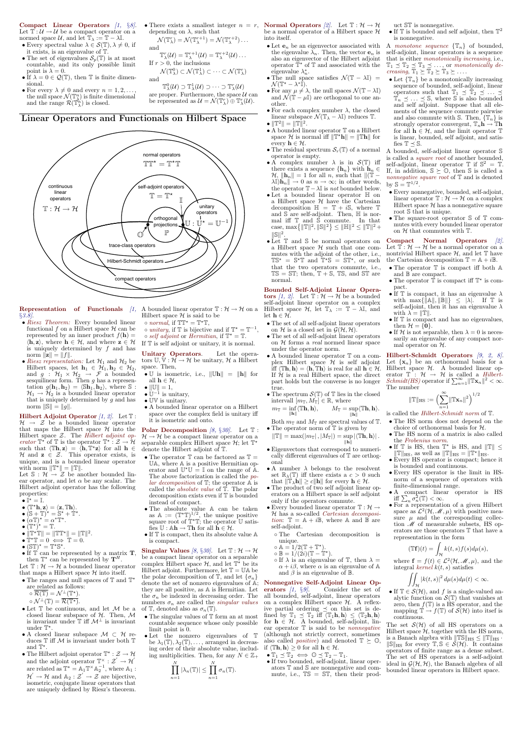Compact Linear Operators  $[1, \S8]$ . Let  $\mathbb{T} : \mathcal{U} \to \mathcal{U}$  be a compact operator on a normed space  $\mathcal{U}$ , and let  $\mathbb{T}_{\lambda} := \mathbb{T} - \lambda \mathbb{I}$ .

- Every spectral value  $\lambda \in \mathcal{S}(\mathbb{T}), \lambda \neq 0$ , if it exists, is an eigenvalue of  $T$
- The set of eigenvalues  $\mathcal{S}_p(\mathbb{T})$  is at most countable, and its only possible limit point is  $\lambda = 0$ .
- If  $\lambda = 0 \in \mathcal{Q}(\mathbb{T})$ , then  $\mathbb T$  is finite dimensional.
- For every  $\lambda \neq 0$  and every  $n = 1, 2, \dots$ the null space  $\mathcal{N}(\mathbb{T}_{\lambda}^{n})$  is finite dimensional and the range  $\mathcal{R}(\mathbb{T}_{\lambda}^{n})$  is closed.
- depending on  $\lambda$ , such that  $\mathcal{N}(\mathbb{T}^r_{\lambda}) = \mathcal{N}(\mathbb{T}^{r+1}_{\lambda}) = \mathcal{N}(\mathbb{T}^{r+2}_{\lambda}) \dots$
- and  $\mathbb{T}^r_{\lambda}(\mathcal{U})=\mathbb{T}^{r+1}_{\lambda}(\mathcal{U})=\mathbb{T}^{r+2}_{\lambda}(\mathcal{U})\ldots$ 
	- If  $r > 0$ , the inclusions
		-

are proper. Furthermore, the space  $\mathcal U$  can

 $\mathcal{N}(\mathbb{T}^0_\lambda)\subset \mathcal{N}(\mathbb{T}^1_\lambda)\subset\cdots\subset \mathcal{N}(\mathbb{T}^r_\lambda)$ and

 $\mathbb{T}^{0}_{\lambda}(\mathcal{U}) \supset \mathbb{T}^{1}_{\lambda}(\mathcal{U}) \supset \cdots \supset \mathbb{T}^{r}_{\lambda}(\mathcal{U})$ 

be represented as  $\mathcal{U} = \mathcal{N}(\mathbb{T}_{\lambda}^{r}) \oplus \mathbb{T}_{\lambda}^{r}(\mathcal{U}).$ 

then  $T^*$  can be represented by  $T^H$ .

Let  $\mathbb{T} : \mathcal{H} \to \mathcal{H}$  a bounded linear operator that maps a Hilbert space  $H$  into itself.

# Linear Operators and Functionals on Hilbert Space continuous linear operators normal operators self-adjoint operators  $\mathbb{T}:\mathcal{H}\rightarrow\mathcal{H}$  $TT^* = T^*T$  $T = T^*$  $\mathbb{U}:\mathbb{U}^\star=\mathbb{U}$ unitary operators  $\mathbb{O}$ I trace-class operators Hilbert-Schmidt operators compact operators orthogonal projections P **Representation** of Functionals  $\left(1, A \text{ bounded linear operator } \mathbb{T} : \mathcal{H} \to \mathcal{H} \text{ on a} \right)$

Let  $\mathbb{S}: \mathcal{H} \to \mathcal{Z}$  be another bounded linear operator, and let  $\alpha$  be any scalar. The Hilbert adjoint operator has the following properties:

- $\bullet \mathbb{I}^{\star} = \mathbb{I}.$
- $\langle \mathbb{T}^{\star} \mathbf{h}, \mathbf{z} \rangle = \langle \mathbf{z}, \mathbb{T} \mathbf{h} \rangle.$
- $(S + T)^{\star} = S^{\star} + T^{\star}.$
- $(\alpha \mathbb{T})^* = \alpha^* \mathbb{T}^*.$
- $\bullet$   $(\mathbb{T}^{\star})^{\star} = \mathbb{T}.$
- 
- $\|\mathbb{T}^{\star}\mathbb{T}\| = \|\mathbb{T}\mathbb{T}^{\star}\| = \|\mathbb{T}\|^{2}.$  $\bullet \overset{\shortparallel}{\mathbb{T}} \,^{\star} \mathbb{T} = 0 \iff \overset{\shortparallel}{\mathbb{T}} = 0.$
- 
- $\bullet$   $(\mathbb{ST})^* = \mathbb{T}^* \mathbb{S}^*$ .
- 

§3.8].

- Riesz Theorem: Every bounded linear functional f on a Hilbert space  $\mathcal H$  can be represented by an inner product  $f(\mathbf{h}) =$  $\langle \mathbf{h}, \mathbf{z} \rangle$ , where  $\mathbf{h} \in \mathcal{H}$ , and where  $\mathbf{z} \in \mathcal{H}$ is uniquely determined by  $f$  and has norm  $\|\mathbf{z}\| = \|f\|.$
- Riesz representation: Let  $\mathcal{H}_1$  and  $\mathcal{H}_2$  be Hilbert spaces, let  $\mathbf{h}_1 \in \mathcal{H}_1, \mathbf{h}_2 \in \mathcal{H}_2$ , and  $g : \mathcal{H}_1 \times \mathcal{H}_2 \rightarrow \mathcal{F}$  a bounded sesquilinear form. Then  $g$  has a representation  $g(\mathbf{h}_1, \mathbf{h}_2) = \langle \mathbb{S}\mathbf{h}_1, \mathbf{h}_2 \rangle$ , where  $\mathbb{S}$ :  $\mathcal{H}_1 \rightarrow \mathcal{H}_2$  is a bounded linear operator that is uniquely determined by  $g$  and has norm  $\|\mathbb{S}\| = \|g\|.$

**Hilbert Adjoint Operator**  $(1, 2)$ . Let  $T$ :  $\mathcal{H} \rightarrow \mathcal{Z}$  be a bounded linear operator that maps the Hilbert space  $\mathcal H$  into the Hilbert space  $Z$ . The *Hilbert adjoint op*erator  $\mathbb{T}^{\star}$  of  $\mathbb{T}$  is the operator  $\mathbb{T}^{\star}$  :  $\mathcal{Z} \to \mathcal{H}$ such that  $\langle \mathbb{T}\mathbf{h}, \mathbf{z} \rangle = \langle \mathbf{h}, \mathbb{T}^{\star} \mathbf{z} \rangle$  for all  $\mathbf{h} \in$  $\mathcal{H}$  and  $z \in \mathcal{Z}$ . This operator exists, is unique, and is a bounded linear operator with norm  $\|\mathbb{T}^{\star}\| = \|\mathbb{T}\|.$ 

- $\bullet$  The ranges and null spaces of  $\mathbb T$  and  $\mathbb T^\star$ are related as follows:
	- $\circ \overline{\mathcal{R}(\mathbb{T})} = \mathcal{N}^{\perp}(\mathbb{T}^*)$ .  $\circ \mathcal{N}^{\perp}(\mathbb{T}) = \overline{\mathcal{R}(\mathbb{T}^{\star})}.$
- $\bullet$  Let  $\mathbb T$  be continuous, and let  $\mathcal M$  be a closed linear subspace of  $H$ . Then,  $M$ is invariant under  $\mathbb{T}$  iff  $\mathcal{M}^{\perp}$  is invariant under  $\mathbb{T}^*$ .
- A closed linear subspace  $\mathcal{M} \subset \mathcal{H}$  reduces  $T$  iff  $M$  is invariant under both  $T$ and  $\mathbb{T}^*$ .
- The Hilbert adjoint operator  $\mathbb{T}^* : \mathcal{Z} \to \mathcal{H}$ and the adjoint operator  $\mathbb{T}^\times : \mathcal{Z}' \to \mathcal{H}'$ are related as  $\mathbb{T}^* = \mathbb{A}_1 \mathbb{T}^\times \mathbb{A}_2^{-1}$ , where  $\mathbb{A}_1$ :  $\mathcal{H}^{'} \to \mathcal{H}$  and  $\mathbb{A}_2 : \mathcal{Z}^{'} \to \mathcal{Z}$  are bijective, isometric, conjugate linear operators that are uniquely defined by Riesz's theorem.
- Hilbert space  $H$  is said to be
- $\circ$  normal, if  $TT^* = T^*T$ ,
- $\circ$  unitary, if  $\mathbb{T}$  is bijective and if  $\mathbb{T}^* = \mathbb{T}^{-1}$ ,
- $\circ$  self adjoint or Hermitian, if  $\mathbb{T}^* = \mathbb{T}$ .
- If T is self adjoint or unitary, it is normal.

Unitary Operators. Let the operators  $\mathbb{U}, \mathbb{V} : \mathcal{H} \to \mathcal{H}$  be unitary,  $\mathcal{H}$  a Hilbert space. Then,

- U is isometric, i.e.,  $\|\mathbb{U}\mathbf{h}\| = \|\mathbf{h}\|$  for all  $\mathbf{h} \in \mathcal{H}$ ,
- $\|\mathbb{U}\|=1$ ,
- $\mathbb{U}^{-1}$  is unitary,
- UV is unitary.
- A bounded linear operator on a Hilbert space over the complex field is unitary iff it is isometric and onto.

**Polar Decomposition** [8,  $\S 30$ ]. Let  $T$ :  $\mathcal{H} \to \mathcal{H}$  be a compact linear operator on a separable complex Hilbert space  $\mathcal{H}$ ; let  $\mathbb{T}^*$ denote the Hilbert adjoint of T.

- The operator  $\mathbb T$  can be factored as  $\mathbb T$  = UA, where A is a positive Hermitian operator and  $\mathbb{U}^* \mathbb{U} = \mathbb{I}$  on the range of  $\mathbb{A}$ . The above factorization is called the polar decomposition of  $\mathbb{T}$ ; the operator  $\mathbb{A}$  is called the *absolute value* of  $\mathbb{T}$ . The polar decomposition exists even if T is bounded instead of compact.
- The absolute value A can be taken as  $\mathbb{A} := (\mathbb{T}^{\star} \mathbb{T})^{1/2}$ , the unique positive square root of  $T^*\mathbb{T}$ ; the operator U satisfies  $\mathbb{U} : A\mathbf{h} \to \mathbb{T}\mathbf{h}$  for all  $\mathbf{h} \in \mathcal{H}$ .
- If  $T$  is compact, then its absolute value  $\mathbb A$ is compact.

•  $(\mathcal{S}_\mathbb{H})^{\mathbb{I}}$  =  $\mathbb{I}^{\mathbb{I}}$  S.

be a compact linear operator on a separable complex Hilbert space  $\mathcal{H}$ , and let  $\mathbb{T}^*$  be its Hilbert adjoint. Furthermore, let  $\mathbb{T} = \mathbb{U} \mathbb{A}$  be the polar decomposition of  $\mathbb{T}$ , and let  $\{\sigma_n\}$ denote the set of nonzero eigenvalues of A; they are all positive, as A is Hermitian. Let the  $\sigma_n$  be indexed in decreasing order. The numbers  $\sigma_n$  are called the *singular values* of T, denoted also as  $\sigma_n(\mathbb{T})$ .

- The singular values of T form an at most countable sequence whose only possible limit point is 0.
- Let the nonzero eigenvalues of T be  $\lambda_1(\mathbb{T}), \lambda_2(\mathbb{T}), \ldots$ , arranged in decreasing order of their absolute value, including multiplicities. Then, for any  $N \in \mathbb{Z}_+$

 $\prod^N$  $n=1$  $|\lambda_n(\mathbb{T})| \leq \prod^N$  $n=1$  $\sigma_n(\mathbb{T})$ .  $\circ$  If  $\lambda$  is an eigenvalue of  $\mathbb{T}$ , then  $\lambda =$  $\alpha + i\beta$ , where  $\alpha$  is an eigenvalue of A and  $\beta$  is an eigenvalue of  $\mathbb{B}$ .

• There exists a smallest integer  $n = r$ , **Normal Operators** [2]. Let  $\mathbb{T}: \mathcal{H} \to \mathcal{H}$ be a normal operator of a Hilbert space  $\mathcal H$ into itself.

- Let  $e_n$  be an eigenvector associated with A monotone sequence  $\{\mathbb{T}_n\}$  of bounded, the eigenvalue  $\lambda_n$ . Then, the vector  $\mathbf{e}_n$  is also an eigenvector of the Hilbert adjoint operator  $\mathbb{T}^*$  of  $\mathbb{T}$  and associated with the eigenvalue  $\lambda_n^*$ .
- The null space satisfies  $\mathcal{N}(\mathbb{T} \lambda \mathbb{I}) =$  $\mathcal{N}(\mathbb{T}^{\star}-\lambda^{*}\mathbb{I}).$
- For any  $\mu \neq \lambda$ , the null spaces  $\mathcal{N}(\mathbb{T} \lambda \mathbb{I})$ and  $\mathcal{N}(\mathbb{T} - \mu \mathbb{I})$  are orthogonal to one another.
- For each complex number  $\lambda$ , the closed linear subspace  $\mathcal{N}(\mathbb{T}_{\lambda}-\lambda\mathbb{I})$  reduces  $\mathbb{T}$ .
- $\|T^2\| = \|T\|^2.$
- A bounded linear operator T on a Hilbert space H is normal iff  $\|\mathbb{T}^{\star}\mathbf{h}\| = \|\mathbb{T}\mathbf{h}\|$  for every  $\mathbf{h} \in \mathcal{H}$ .
- The residual spectrum  $\mathcal{S}_r(\mathbb{T})$  of a normal operator is empty.
- A complex number  $\lambda$  is in  $\mathcal{S}(\mathbb{T})$  iff there exists a sequence  $\{\mathbf{h}_n\}$  with  $\mathbf{h}_n \in$  $\mathcal{H}, \|\mathbf{h}_n\| = 1$  for all n, such that  $\|(\mathbb{T} \lambda \mathbb{I}[\mathbf{h}_n] \to 0$  as  $n \to \infty$ ; in other words, the operator  $\mathbb{T}-\lambda \mathbb{I}$  is *not* bounded below.
- Let a bounded linear operator H on a Hilbert space  $H$  have the Cartesian decomposition  $\mathbb{H} = \mathbb{T} + i\mathbb{S}$ , where  $\mathbb{T}$ and  $\overline{\mathbb{S}}$  are self-adjoint. Then,  $\mathbb H$  is normal iff T and S commute. In that case,  $\max{\{\|\mathbb{T}\|^2, \|\mathbb{S}\|^2\}} \leq {\|\mathbb{H}\|^2} \leq {\|\mathbb{T}\|^2} +$  $\|\mathbb{S}\|^2$ .
- Let  $\mathbb T$  and  $\mathbb S$  be normal operators on a Hilbert space  $H$  such that one commutes with the adjoint of the other, i.e.,  $\mathbb{TS}^{\star} = \mathbb{S}^{\star}\mathbb{T}$  and  $\mathbb{T}^{\star}\mathbb{S} = \mathbb{ST}^{\star}$ , or such that the two operators commute, i.e.,  $TS = ST$ ; then,  $T + S$ , TS, and ST are normal.

Bounded Self-Adjoint Linear Operators [1, 2]. Let  $\mathbb{T} \cdot \mathcal{H} \to \mathcal{H}$  be a bounded self-adjoint linear operator on a complex Hilbert space  $\mathcal{H}$ , let  $\mathbb{T}_{\lambda} := \mathbb{T} - \lambda \mathbb{I}$ , and let  $\mathbf{h} \in \mathcal{H}$ .

- The set of all self-adjoint linear operators on H is a closed set in  $\mathcal{G}(\mathcal{H}, \mathcal{H})$ .
- The set of all self-adjoint linear operators on  $H$  forms a *real* normed linear space under the operator norm.
- A bounded linear operator T on a complex Hilbert space  $H$  is self adjoint iff  $\langle \mathbb{T} \mathbf{h}, \mathbf{h} \rangle = \langle \mathbf{h}, \mathbb{T} \mathbf{h} \rangle$  is real for all  $\mathbf{h} \in \mathcal{H}$ . If  $H$  is a real Hilbert space, the direct part holds but the converse is no longer true.
- The spectrum  $\mathcal{S}(\mathbb{T})$  of  $\mathbb{T}$  lies in the closed intervall  $[m_{\mathbb{T}}, M_{\mathbb{T}}] \in \mathbb{R}$ , where

 $m_{\mathbb{T}} = \inf \langle \mathbb{T} \mathbf{h}, \mathbf{h} \rangle, \qquad M_{\mathbb{T}} = \sup \langle \mathbb{T} \mathbf{h}, \mathbf{h} \rangle.$  $\|\mathbf{h}\|$  $\|\mathbf{h}\|$ 

Both  $m_{\mathbb{T}}$  and  $M_{\mathbb{T}}$  are spectral values of  $\mathbb{T}$ . • The operator norm of  $T$  is given by

 $\|\mathbb{T}\| = \max(|m_{\mathbb{T}}|, |M_{\mathbb{T}}|) = \sup |\langle \mathbb{T}\mathbf{h}, \mathbf{h}\rangle|.$  $\|\mathbf{h}\|$ 

- Eigenvectors that correspond to numerically different eigenvalues of T are orthogonal
- A number  $\lambda$  belongs to the resolvent set  $\mathbb{R}_{\lambda}(\mathbb{T})$  iff there exists a  $c > 0$  such that  $\|\mathbf{T}_{\lambda}\mathbf{h}\| \geq c\|\mathbf{h}\|$  for every  $\mathbf{h} \in \mathcal{H}$ .
- The product of two self adjoint linear operators on a Hilbert space is self adjoint only if the operators commute.
- Every bounded linear operator  $\mathbb{T} : \mathcal{H} \to$ H has a so-called Cartesian decomposition:  $\mathbb{T} = \mathbb{A} + i\mathbb{B}$ , where  $\mathbb A$  and  $\mathbb B$  are self-adjoint.
	- The Cartesian decomposition is unique.
	- $\circ$   $\mathbb{A} = 1/2(\mathbb{T} + \mathbb{T}^*)$ .
	- $\circ \mathbb{B} = 1/(2i)(\mathbb{T} \mathbb{T}^*)$ .

• If two bounded, self-adjoint, linear operators T and S are nonnegative and commute, i.e.,  $TS = ST$ , then their prod-

 $J_H$ <br>where  $\mathbf{f} = f(t) \in \mathcal{L}^2(\mathcal{H}, \mathcal{M}, \mu)$ , and the integral kernel  $k(t, s)$  satisfies

 $\bullet$  If  $\mathbb T$  is bounded and self adjoint, then  $\mathbb T^2$ is nonnegative.

self-adjoint, linear operators is a sequence that is either monotonically increasing, i.e.,  $\mathbb{T}_1 \preceq \mathbb{T}_2 \preceq \mathbb{T}_3 \preceq \ldots$ , or monotonically de*creasing*,  $\overline{T}_1 \succeq \overline{T}_2 \succeq \overline{T}_3 \succeq \ldots$ 

• Let  $\{\mathbb{T}_n\}$  be a monotonically increasing sequence of bounded, self-adjoint, linear operators such that  $\mathbb{T}_1 \preceq \mathbb{T}_2 \preceq \ldots \preceq$  $\overline{\mathbb{T}}_n \preceq \ldots \preceq \mathbb{S}$ , where  $\mathbb S$  is also bounded and self adjoint. Suppose that all elements of the sequence commute pairwise and also commute with S. Then,  $\{\mathbb{T}_n\}$  is strongly operator convergent,  $\mathbb{T}_n \mathbf{h} \to \mathbb{T} \mathbf{h}$ for all  $h \in \mathcal{H}$ , and the limit operator  $\mathbb T$ is linear, bounded, self adjoint, and satisfies  $\mathbb{T} \preceq \mathbb{S}$ .

A bounded, self-adjoint linear operator S is called a square root of another bounded, self-adjoint, linear operator  $\mathbb T$  if  $\mathbb{S}^2 = \mathbb T$ . If, in addition,  $\mathbb{S} \succeq \mathbb{O}$ , then  $\mathbb{S}$  is called a nonnegative square root of T and is denoted by  $\mathbb{S} = \mathbb{T}^{1/2}$ .

- Every nonnegative, bounded, self-adjoint, linear operator  $\mathbb{T} : \mathcal{H} \to \mathcal{H}$  on a complex Hilbert space  $H$  has a nonnegative square root S that is unique.
- The square-root operator S of T commutes with every bounded linear operator on  $H$  that commutes with  $T$ .

Compact Normal Operators [2]. Let  $\bar{\mathbb{T}}: \mathcal{H} \to \mathcal{H}$  be a normal operator on a nontrivial Hilbert space  $H$ , and let  $T$  have the Cartesian decomposition  $\mathbb{T} = \mathbb{A} + i\mathbb{B}$ .

- The operator  $\mathbb T$  is compact iff both  $\mathbb A$ and B are compact.
- The operator  $\dot{\mathbb{T}}$  is compact iff  $\mathbb{T}^*$  is compact.
- If  $\mathbb T$  is compact, it has an eigenvalue  $\lambda$ with  $\max\{\|\mathbb{A}\|,\|\mathbb{B}\|\}\leq |\lambda|$ . If  $\mathbb T$  is self-adjoint, then it has an eigenvalue  $\lambda$ with  $\lambda = ||\mathbb{T}||$ .
- If  $T$  is compact and has no eigenvalues, then  $\mathcal{H} = \{0\}.$
- If H is not separable, then  $\lambda = 0$  is necessarily an eigenvalue of any compact normal operator on  $H$ .

Hilbert-Schmidt Operators [9, 2, 8]. Let  $\{x_n\}$  be an orthonormal basis for a Hilbert space  $H$ . A bounded linear operator  $\mathbb{T}$ :  $\mathcal{H} \rightarrow \mathcal{H}$  is called a *Hilbert*-*Schmidt(HS)* operator if  $\sum_{n=1}^{\infty} ||\mathbb{T} \mathbf{x}_n||^2 < \infty$ . The number

- is called the *Hilbert-Schmidt norm* of  $\mathbb{T}$ .
- The HS norm does not depend on the choice of orthonormal basis for H.
- The HS norm of a matrix is also called the Frobenius norm.
- If  $\mathbb T$  is HS, then  $\mathbb T^*$  is HS, and  $\|\mathbb T\|\leq$  $\Vert \mathbb{T} \Vert_{\text{HS}}$ , as well as  $\Vert \mathbb{T} \Vert_{\text{HS}} = \Vert \mathbb{T}^{\star} \Vert_{\text{HS}}$ .
- Every HS operator is compact; hence it is bounded and continuous.
- Every HS operator is the limit in HSnorm of a sequence of operators with finite-dimensional range.
- A compact linear operator is HS iff  $\sum_n \sigma_n^2(\mathbb{T}) < \infty$ .
- For a representation of a given Hilbert space as  $\mathcal{L}^2(\mathcal{H},\mathcal{M},\mu)$  with positive measure  $\mu$  and the corresponding collection  $\mathcal M$  of measurable subsets, HS operators are those operators T that have a representation in the form

• If  $\mathbb{T} \in \mathcal{S}(\mathcal{H})$ , and f is a single-valued analytic function on  $\mathcal{S}(\mathbb{T})$  that vanishes at zero, then  $f(\mathbb{T})$  is a HS operator, and the mapping  $\mathbb{T} \to f(\mathbb{T})$  of  $\mathcal{S}(\mathcal{H})$  into itsef is continuous.

The set  $\mathcal{S}(\mathcal{H})$  of all HS operators on a Hilbert space  $\mathcal{H}$ , together with the HS norm, is a Banach algebra with  $||\mathbb{TS}||_{\text{HS}} \le ||\mathbb{T}||_{\text{HS}}$ .  $\|\mathbb{S}\|_{\text{HS}}$  for every  $\mathbb{T}, \mathbb{S} \in \mathcal{S}(\mathcal{H})$ . It contains operators of finite range as a dense subset. The set of HS operators is a self-adjoint ideal in  $\mathcal{G}(\mathcal{H}, \mathcal{H})$ , the Banach algebra of all bounded linear operators in Hilbert space.

#### Nonnegative Self-Adjoint Linear Op-

erators  $\left(1, \frac{6}{9}\right)$ . Consider the set of all bounded, self-adjoint, linear operators on a complex Hilbert space  $H$ . A reflexive partial ordering  $\preceq$  on this set is defined by  $\mathbb{T}_1 \preceq \mathbb{T}_2$  iff  $\langle \mathbb{T}_1 \mathbf{h}, \mathbf{h} \rangle \leq \langle \mathbb{T}_2 \mathbf{h}, \mathbf{h} \rangle$ for  $h \in \mathcal{H}$ . A bounded, self-adjoint, linear operator  $T$  is said to be *nonnegative* (although not strictly correct, sometimes also called *positive*) and denoted  $\mathbb{T} \succeq \mathbb{O}$ , if  $\langle \mathbb{T} \mathbf{h}, \mathbf{h} \rangle \geq 0$  for all  $\mathbf{h} \in \mathcal{H}$ .

•  $\mathbb{T}_1 \preceq \mathbb{T}_2 \iff \mathbb{O} \preceq \mathbb{T}_2 - \mathbb{T}_1.$ 

uct ST is nonnegative.

$$
\|\mathbb{T}\|_{\rm HS}:=\Bigl(\sum_{n=1}^\infty \|\mathbb{T}\mathbf{x}_n\|^2\Bigr)^{1/2}
$$

$$
(\mathbb{T}\mathbf{f})(t) = \int_{\mathcal{H}} k(t,s)f(s)d\mu(s),
$$

$$
\iint_{\mathcal{H}}\left|k(t,s)\right|^{2}d\mu(s)d\mu(t)<\infty.
$$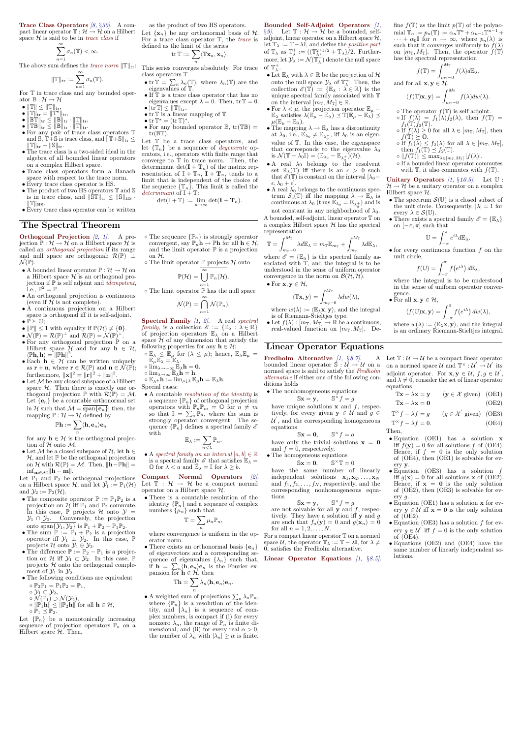**Trace Class Operators** [8,  $\S30$ ]. A compact linear operator  $\mathbb{T} : \mathcal{H} \to \mathcal{H}$  on a Hilbert Let  $\{x_n\}$  be any orthonormal basis of  $\mathcal{H}$ . space  $H$  is said to be in *trace class* if

$$
\sum_{n=1}^{\infty} \sigma_n(\mathbb{T}) < \infty.
$$

The above sum defines the *trace norm*  $||\mathbb{T}||_{\text{tr}}$ :

$$
\|\mathbb{T}\|_{\mathrm{tr}}:=\sum_{n=1}^\infty \sigma_n(\mathbb{T}).
$$

For  $T$  in trace class and any bounded operator  $\mathbb{B} : \mathcal{H} \to \mathcal{H}$ 

- $\|\mathbb{T}\| \leq \|\mathbb{T}\|_{\text{tr}},$
- $\bullet$   $\|\mathbb{T}\|_{\mathrm{tr}} = \|\mathbb{T}^{\star}\|_{\mathrm{tr}},$
- $\bullet$   $\|\mathbb{B}\mathbb{T}\|_{\mathrm{tr}} \leq \|\mathbb{B}\|_{\mathrm{tr}} \cdot \|\mathbb{T}\|_{\mathrm{tr}},$
- $\bullet$   $\|\mathbb{TB}\|_{\mathrm{tr}}^{\mathrm{ur}} \leq \|\mathbb{B}\|_{\mathrm{tr}}^{\mathrm{ur}} \cdot \|\mathbb{T}\|_{\mathrm{tr}}^{\mathrm{ur}}.$
- For any pair of trace class operators T and  $\overline{S}, \overline{T} + \overline{S}$  is trace class, and  $\overline{\|T+S\|}_{tr} \leq$  $||T||_{tr} + ||S||_{tr}.$
- The trace class is a two-sided ideal in the algebra of all bounded linear operators on a complex Hilbert space.
- Trace class operators form a Banach space with respect to the trace norm.
- Every trace class operator is HS.  $\bullet$  The product of two HS operators  $\mathbb T$  and  $\mathbb S$
- is in trace class, and  $\|\mathbf{\tilde{S}}\mathbf{T}\|_{\text{tr}} \leq \|\mathbf{\tilde{S}}\|_{\text{HS}}$ .  $\|\mathbb{T}\|_{\text{HS}}$ .
- Every trace class operator can be written

as the product of two HS operators. For a trace class operator T, the trace is defined as the limit of the series

$$
\operatorname{tr} \mathbb{T} := \sum_n \langle \mathbb{T} \mathbf{x}_n, \mathbf{x}_n \rangle.
$$

This series converges absolutely. For trace class operators T

- tr  $\mathbb{T} = \sum_{n} \lambda_n(\mathbb{T})$ , where  $\lambda_n(\mathbb{T})$  are the eigenvalues of  $\mathbb{T}$ .
- $\bullet$  If  $\mathbb T$  is a trace class operator that has no eigenvalues except  $\lambda = 0$ . Then,  $tr T = 0$ .
- $|\text{tr}\,\mathbb{T}| \leq ||\mathbb{T}||_{\text{tr}}.$ •  $tr T$  is a linear mapping of  $T$ .
- $tr T^* = (tr T)^*.$
- For any bounded operator  $\mathbb{B}$ ,  $tr(\mathbb{TB}) =$  $tr(\mathbb{BT})$ .

Let  $T$  be a trace class operators, and let  $\{\mathbb{T}_n\}$  be a sequence of *degenerate* operators, i.e., operators with finite range that converge to  $T$  in trace norm. Then, the determinant det $(\mathbf{I} + \mathbf{T}_n)$  of the matrix representation of  $\mathbb{I} + \mathbb{T}_n$ ,  $\mathbb{I} + \mathbb{T}_n$ , tends to a limit that is independent of the choice of the sequence  $\{\mathbb{T}_n\}$ . This limit is called the determinant of  $\mathbb{I} + \mathbb{T}$ :

$$
\det(\mathbb{I} + \mathbb{T}) := \lim_{n \to \infty} \det(\mathbf{I} + \mathbf{T}_n).
$$

- $\circ$  The sequence  $\{\mathbb{P}_n\}$  is strongly operator convergent, say  $\mathbb{P}_n$ **h**  $\rightarrow$   $\mathbb{P}_n$ **h** for all  $\mathbf{h} \in \mathcal{H}$ , and the limit operator  $\mathbb P$  is a projection on H.
- $\circ$  The limit operator  ${\mathbb P}$  projects  ${\mathcal H}$  onto

#### The Spectral Theorem

**Orthogonal Projection**  $[2, 1]$ . A projection  $\mathbb{P}: \mathcal{H} \to \mathcal{H}$  on a Hilbert space  $\mathcal{H}$  is called an orthogonal projection if its range and null space are orthogonal:  $\mathcal{R}(\mathbb{P}) \perp$  $\mathcal{N}(\mathbb{P}).$ 

- A bounded linear operator  $\mathbb{P}: \mathcal{H} \to \mathcal{H}$  on a Hilbert space  $\mathcal H$  is an orthogonal projection if  $\mathbb{P}$  is self adjoint and *idempotent*, i.e.,  $\mathbb{P}^2 = \mathbb{P}$ .
- An orthogonal projection is continuous (even if  $H$  is not complete).
- A continuous projection on a Hilbert space is orthogonal iff it is self-adjoint.
- $\bullet \mathbb{P} \succeq \mathbb{O};$
- $\|\mathbb{P}\| \leq 1$  with equality if  $\mathbb{P}(\mathcal{H}) \neq \{0\}.$
- $\mathcal{N}(\mathbb{P}) = \mathcal{R}(\mathbb{P})^{\perp}$  and  $\mathcal{R}(\mathbb{P}) = \mathcal{N}(\mathbb{P})^{\perp}$ .
- For any orthogonal projection  $\mathbb P$  on a Hilbert space  $\mathcal{H}$  and for any  $\mathbf{h} \in \mathcal{H}$ ,  $\langle \mathbb{P}\mathbf{h}, \mathbf{h} \rangle = ||\mathbb{P}\mathbf{h}||^2.$
- Each  $h \in \mathcal{H}$  can be written uniquely as  $\mathbf{r} + \mathbf{n}$ , where  $\mathbf{r} \in \mathcal{R}(\mathbb{P})$  and  $\mathbf{n} \in \mathcal{N}(\mathbb{P})$ ; furthermore,  $\|\mathbf{x}\|^2 = \|\mathbf{r}\|^2 + \|\mathbf{n}\|^2$ .
- $\bullet$  Let  $\mathcal M$  be any closed subspace of a Hilbert space  $H$ . Then there is exactly one orthogonal projection  $\mathbb P$  with  $\mathcal R(\mathbb P) = \mathcal M$ . Let  ${e_n}$  be a countable orthonormal set in H such that  $\mathcal{M} = \text{span}\{\mathbf{e}_n\}$ ; then, the mapping  $\mathbb{P}: \mathcal{H} \to \mathcal{H}$  defined by
- $\circ \mathbb{E}_{\lambda} \leq \mathbb{E}_{\mu}$  for  $(\lambda \leq \mu)$ ; hence,  $\mathbb{E}_{\lambda} \mathbb{E}_{\mu} =$  $\mathbb{E}_{\mu} \mathbb{E}_{\lambda} = \mathbb{E}_{\lambda}.$
- $\lim_{\lambda \to -\infty} \widehat{\mathbb{E}}_{\lambda} h = 0.$
- $\circ \lim_{\lambda \to \infty} \mathbb{E}_{\lambda} \hat{\mathbf{h}} = \mathbf{h}.$  $\circ \mathbb{E}_{\lambda^+} \mathbf{h} := \lim_{\mu \downarrow \lambda} \mathbb{E}_{\mu} \mathbf{h} = \mathbb{E}_{\lambda} \mathbf{h}.$
- Special cases:

Compact Normal Operators [2]. Let  $\mathbb{T} : \mathcal{H} \to \mathcal{H}$  be a compact normal operator on a Hilbert space  $H$ .

• There is a countable resolution of the identity  $\{\mathbb{P}_n\}$  and a sequence of complex numbers  $\{\mu_n\}$  such that

• There exists an orthonormal basis  ${e_n}$ of eigenvectors and a corresponding se-

Bounded Self-Adjoint Operators [1, §9. Let  $\mathbb{T} : \mathcal{H} \to \mathcal{H}$  be a bounded, selfadjoint, linear operator on a Hilbert space  $\mathcal{H}$ , let  $\mathbb{T}_{\lambda} := \mathbb{T} - \lambda \mathbb{I}$ , and define the *positive part* of  $\mathbb{T}_{\lambda}$  as  $\mathbb{T}_{\lambda}^{+} := ((\mathbb{T}_{\lambda}^{2})^{1/2} + \mathbb{T}_{\lambda})/2$ . Furthermore, let  $\mathcal{Y}_\lambda := \mathcal{N}(\mathbb{T}^+_\lambda)$  denote the null space of  $\mathbb{T}^+_{\lambda}$ .

$$
\mathbb{P}\mathbf{h}:=\sum_n\langle\mathbf{h},\mathbf{e}_n\rangle\mathbf{e}_n
$$

for any  $h \in \mathcal{H}$  is the orthogonal projection of  $H$  onto  $M$ .

• Let M be a closed subspace of  $H$ , let  $h \in$  $H$ , and let  $\mathbb P$  be the orthogonal projection on H with  $\mathcal{R}(\mathbb{P}) = \mathcal{M}$ . Then,  $\|\mathbf{h}-\mathbb{P}\mathbf{h}\|$  =  $\inf_{\mathbf{m}\in\mathcal{M}}\|\mathbf{h}-\mathbf{m}\|.$ 

Let  $\mathbb{P}_1$  and  $\mathbb{P}_2$  be orthogonal projections on a Hilbert space  $\mathcal{H}$ , and let  $\mathcal{Y}_1 := \mathbb{P}_1(\mathcal{H})$ and  $\mathcal{Y}_2 := \mathbb{P}_2(\mathcal{H})$ .

- The composite operator  $\mathbb{P} := \mathbb{P}_1 \mathbb{P}_2$  is a projection on H iff  $\mathbb{P}_1$  and  $\mathbb{P}_2$  commute. In this case,  $\mathbb P$  projects  $\mathcal H$  onto  $\mathcal Y =$  $\mathcal{Y}_1 \cap \mathcal{Y}_2$ . Conversely, the projection onto  $\overline{\text{span}\{\mathcal{Y}_1,\mathcal{Y}_2\}}$  is  $\mathbb{P}_1 + \mathbb{P}_2 - \mathbb{P}_1 \mathbb{P}_2$ .
- The sum  $\mathbb{P} := \mathbb{P}_1 + \mathbb{P}_2$  is a projection operator iff  $\mathcal{Y}_1 \perp \mathcal{Y}_2$ . In this case,  $\mathbb{P}$ projects H onto  $\mathcal{Y}_1 \oplus \mathcal{Y}_2$ .
- The difference  $\mathbb{P} := \mathbb{P}_2 \mathbb{P}_1$  is a projec-
- $\bullet$  Let  $\mathbb{E}_{\lambda}$  with  $\lambda \in \mathbb{R}$  be the projection of  $\mathcal{H}$ onto the null space  $\mathcal{Y}_{\lambda}$  of  $\mathbb{T}_{\lambda}^{+}$ . Then, the collection  $\mathscr{E}(\mathbb{T}) := \{ \mathbb{E}_{\lambda} : \lambda \in \mathbb{R} \}$  is the unique spectral family associated with T on the interval  $[m_{\mathbb{T}}, \check{M}_{\mathbb{T}}] \in \mathbb{R}$ .
- For  $\lambda < \mu$ , the projection operator  $\mathbb{E}_{\mu}$   $\mathbb{E}_{\lambda}$  satisfies  $\lambda(\mathbb{E}_{\mu} - \mathbb{E}_{\lambda}) \preceq \mathbb{T}(\mathbb{E}_{\mu} - \mathbb{E}_{\lambda}) \preceq$  $\mu(\mathbb{E}_{\mu}-\mathbb{E}_{\lambda}).$
- The mapping  $\lambda \to \mathbb{E}_{\lambda}$  has a discontinuity at  $\lambda_0$ , i.e.,  $\mathbb{E}_{\lambda_0} \neq \mathbb{E}_{\lambda_0^+}$ , iff  $\lambda_0$  is an eigenvalue of  $\mathbb T$ . In this case, the eigenspace that corresponds to the eigenvalue  $\lambda_0$ is  $\mathcal{N}(\mathbb{T} - \lambda_0 \mathbb{I}) = (\mathbb{E}_{\lambda_0} - \mathbb{E}_{\lambda_0^+})(\mathcal{H}).$
- A real  $\lambda_0$  belongs to the resolvent set  $\mathbb{R}_{\lambda}(\mathbb{T})$  iff there is an  $\epsilon > 0$  such that  $\mathscr{E}(\mathbb{T})$  is constant on the interval [ $\lambda_0$ −  $(\epsilon, \lambda_0 + \epsilon].$
- A real  $\lambda_0$  belongs to the continuous spectrum  $\mathcal{S}_c(\mathbb{T})$  iff the mapping  $\lambda \to \mathbb{E}_{\lambda}$  is continuous at  $\lambda_0$  (thus  $\mathbb{E}_{\lambda_0} = \mathbb{E}_{\lambda_0^+}$ ) and is not constant in any neighborhood of  $\lambda_0$ . A bounded, self-adjoint, linear operator T on a complex Hilbert space  $H$  has the spectral representation

where  $w(\lambda) := \langle \mathbb{E}_{\lambda} \mathbf{x}, \mathbf{y} \rangle$ , and the integral is of Riemann-Stieltjes type.

• Let  $f(\lambda): [m_{\mathbb{T}}, M_{\mathbb{T}}] \to \mathbb{R}$  be a continuous, real-valued function on  $[m_{\mathbb{T}}, M_{\mathbb{T}}]$ . De-

• The following conditions are equivalent

$$
\circ \mathbb{P}_2 \mathbb{P}_1 = \mathbb{P}_1 \mathbb{P}_2 = \mathbb{P}_1, \circ \mathcal{Y}_1 \subset \mathcal{Y}_2, \circ \mathcal{N}(\mathbb{P}_1) \supset \mathcal{N}(\mathcal{Y}_2), \circ \|\mathbb{P}_1 \mathbf{h}\| \le \|\mathbb{P}_2 \mathbf{h}\| \text{ for all } \mathbf{h} \in \mathcal{H}, \circ \mathbb{P}_1 \preceq \mathbb{P}_2.
$$

Let  $\{\mathbb{P}_n\}$  be a monotonically increasing sequence of projection operators  $\mathbb{P}_n$  on a Hilbert space  $H$ . Then,

quence of eigenvalues  $\{\lambda_n\}$  such that, if  $\mathbf{h} = \sum_{n} \langle \mathbf{h}, \mathbf{e}_n \rangle \mathbf{e}_n$  is the Fourier expansion for  $\mathbf{h} \in \mathcal{H}$ , then Linear Operator Equations  $[1, \S 8.5].$ 

fine  $f(\mathbb{T})$  as the limit  $p(\mathbb{T})$  of the polynomial  $\mathbb{T}_n := p_n(\mathbb{T}) := \alpha_n \mathbb{T}^n + \alpha_{n-1} \mathbb{T}^{n-1} +$  $\cdots + \alpha_0 \mathbb{I}$  for  $n \to \infty$ , where  $p_n(\lambda)$  is such that it converges uniformly to  $f(\lambda)$ on  $[m_{\mathbb{T}}, M_{\mathbb{T}}]$ . Then, the operator  $f(\mathbb{T})$ has the spectral representation

$$
\mathbb{P}(\mathcal{H})=\overline{\bigcup_{n=1}^{\infty}\mathbb{P}_n(\mathcal{H})}.
$$

 $\circ$  The limit operator  ${\mathbb P}$  has the null space

$$
\mathcal{N}(\mathbb{P}) = \bigcap_{n=1}^{\infty} \mathcal{N}(\mathbb{P}_n).
$$

**Spectral Family**  $[1, 2]$ . A real spectral  $family, \text{ is a collection } \mathscr{E} := \{ \mathbb{E}_{\lambda} : \lambda \in \mathbb{R} \}$ of projection operators  $\mathbb{E}_{\lambda}$  on a Hilbert space  $\mathcal H$  of any dimension that satisfy the following properties for any  $h \in \mathcal{H}$ :

where  $w(\lambda) := \langle \mathbb{E}_{\lambda} \mathbf{x}, \mathbf{y} \rangle$ , and the integral is an ordinary Riemann-Stieltjes integral.

on a normed space  $\mathcal{U}$  and  $\mathbb{T}^\times : \mathcal{U}^{'} \to \mathcal{U}^{'}$  its adjoint operator. For  $\mathbf{x}, \mathbf{y} \in \mathcal{U}, f, g \in \mathcal{U}'$ , and  $\lambda \neq 0$ , consider the set of linear operator

 $\mathbb{T} \mathbf{x} - \lambda \mathbf{x} = \mathbf{y}$   $(\mathbf{y} \in \mathcal{X} \text{ given})$  (OE1)  $\mathbb{T} \mathbf{x} - \lambda \mathbf{x} = \mathbf{0}$  (OE2)  $\mathbb{T}^\times f - \lambda f = g$   $(g \in \mathcal{X}' \text{ given})$  (OE3)  $\mathbb{T}^\times f - \lambda f = 0.$  (OE4)

have unique solutions  $x$  and  $f$ , respectively, for every given  $y \in U$  and  $g \in$  $\mathcal{U}$ <sup>'</sup>, and the corresponding homogeneous equations

> $\mathbb{S}\mathbf{x}=\mathbf{0},$  $\mathbb{S}^{\times} f = o$

have only the trivial solutions  $x = 0$ and  $f = 0$ , respectively. • The homogeneous equations

• A countable resolution of the identity is a sequence  $\{\mathbb{P}_n\}$  of orthogonal projection operators with  $\mathbb{P}_n \mathbb{P}_m = \mathbb{O}$  for  $n \neq m$ so that  $\mathbb{I} = \sum_{n} \mathbb{P}_n$ , where the sum is strongly operator convergent. The se-

with

$$
\mathbb{E}_{\lambda}:=\sum_{n\leq \lambda} \mathbb{P}_n.
$$

quence  $\{\mathbb{P}_n\}$  defines a spectral family  $\mathscr E$ 

• A spectral family on an interval  $[a, b] \in \mathbb{R}$ is a spectral family  $\mathscr E$  that satisfies  $\mathbb{E}_{\lambda} =$  $\mathbb{O}$  for  $\lambda < a$  and  $\mathbb{E}_{\lambda} = \mathbb{I}$  for  $\lambda \geq b$ .

> For a compact linear operator  $\mathbb T$  on a normed space U, the operator  $\mathbb{T}_{\lambda} := \mathbb{T} - \lambda \mathbb{I}$ , for  $\lambda \neq$ 0, satisfies the Fredholm alternative.

$$
\mathbf{F}^* = \mathbf{Q} \quad \mathbf{H} \quad \mathbf{F} \quad \mathbf{H}^* = \mathbf{H} \quad \mathbf{Q} \mathbf{Q} \mathbf{F}
$$

$$
\mathbb{T}=\sum_n \mu_n \mathbb{P}_n,
$$

where convergence is uniform in the operator norm.

 $\bullet$  Equation (OE3) has a solution iff  $g(\mathbf{x}) = 0$  for all solutions **x** of (OE2). Hence, if  $x = 0$  is the only solution of (OE2), then (OE3) is solvable for ev-

• Equation (OE1) has a solution x for every  $y \in \mathcal{U}$  iff  $x = 0$  is the only solution

• Equation (OE3) has a solution  $f$  for every  $g \in \mathcal{U}$  iff  $f = 0$  is the only solution

$$
\mathbb{T}\mathbf{h}=\sum_n \lambda_n \langle \mathbf{h}, \mathbf{e}_n\rangle \mathbf{e}_n.
$$

• A weighted sum of projections  $\sum_{n} \lambda_n \mathbb{P}_n$ , where  $\{\mathbb{P}_n\}$  is a resolution of the identity, and  $\{\lambda_n\}$  is a sequence of complex numbers, is compact if (i) for every nonzero  $\lambda_n$ , the range of  $\mathbb{P}_n$  is finite dimensional, and (ii) for every real  $\alpha > 0$ , the number of  $\lambda_n$  with  $|\lambda_n| \geq \alpha$  is finite.

$$
\mathbb{T} = \int_{m_{\mathbb{T}}-0}^{M_{\mathbb{T}}} \lambda d\mathbb{E}_{\lambda} = m_{\mathbb{T}} \mathbb{E}_{m_{\mathbb{T}}} + \int_{m_{\mathbb{T}}}^{M_{\mathbb{T}}} \lambda d\mathbb{E}_{\lambda},
$$

 $J_{m_{\text{T}}-0}$ <br>where  $\mathscr{E} = {\mathbb{E}}_{\lambda}$  is the spectral family associated with  $\tilde{T}$ , and the integral is to be understood in the sense of uniform operator convergence in the norm on  $\mathcal{B}(\mathcal{H}, \mathcal{H})$ .

• For 
$$
\mathbf{x}, \mathbf{y} \in \mathcal{H}
$$
,

$$
\langle \mathbb{T}\mathbf{x},\mathbf{y}\rangle = \int_{m_{\mathbb{T}}-0}^{M_{\mathbb{T}}} \lambda dw(\lambda),
$$

$$
f(\mathbb{T}) = \int_{m_{\mathbb{T}} - 0}^{M_{\mathbb{T}}} f(\lambda) d\mathbb{E}_{\lambda},
$$

and for all  $\mathbf{x}, \mathbf{y} \in \mathcal{H}$ ,

$$
\langle f(\mathbb{T})\mathbf{x},\mathbf{y}\rangle=\int_{m_\mathbb{T}-0}^{M_\mathbb{T}}f(\lambda)dw(\lambda).
$$

 $\circ$  The operator  $f(\mathbb{T})$  is self adjoint.

- $\circ$  If  $f(\lambda) = f_1(\lambda) \dot{f}_2(\lambda)$ , then  $f(\mathbb{T}) =$  $f_1(\mathbb{T})f_2(\mathbb{T})$ .
- $\circ$  If  $f(\lambda) \geq 0$  for all  $\lambda \in [m_{\mathbb{T}}, M_{\mathbb{T}}]$ , then  $f(\mathbb{T})\succeq \mathbb{O}.$
- $\circ$  If  $f_1(\overline{\lambda}) \leq f_2(\lambda)$  for all  $\lambda \in [m_{\mathbb{T}}, M_{\mathbb{T}}],$ then  $f_1(\mathbb{T}) \preceq f_2(\mathbb{T})$ .
- $\|\varphi\| \leq \max_{\lambda \in [m_{\mathbb{T}},M_{\mathbb{T}}]} |f(\lambda)|.$
- If a bounded linear operator commutes with  $\mathbb{T}$ , it also commutes with  $f(\mathbb{T})$ .

Unitary Operators  $\left(1, \frac{6}{3}10.5\right)$ . Let  $\mathbb{U}$ :  $\mathcal{H} \to \mathcal{H}$  be a unitary operator on a complex Hilbert space  $H$ .

- The spectrum  $\mathcal{S}(\mathbb{U})$  is a closed subset of the unit circle. Consequently,  $|\lambda| = 1$  for every  $\lambda \in \mathcal{S}(\mathbb{U}).$
- There exists a spectral family  $\mathscr{E} = \{ \mathbb{E}_{\lambda} \}$ on  $[-\pi, \pi]$  such that

$$
\mathbb{U} = \int_{-\pi}^{\pi} e^{i\lambda} d\mathbb{E}_{\lambda}.
$$
  
• for every continuous function  $f$  on the

 $-\pi$ 

unit circle,

where the integral is to be understood in the sense of uniform operator conver-

 $-\pi$ 

gence.

## Linear Operator Equations

Fredholm Alternative  $[1, \S 8.7]$ . bounded linear operator  $\mathcal{S}: \mathcal{U} \to \mathcal{U}$  on a normed space is said to satisfy the Fredholm alternative if either one of the following conditions holds A Let  $\mathbb{T} : \mathcal{U} \to \mathcal{U}$  be a compact linear operator

• The nonhomogeneous equations

$$
\mathbb{S}\mathbf{x} = \mathbf{y}, \qquad \mathbb{S}^{\times} f = g
$$

The nonregencous equations  

$$
Sx = 0
$$
,  $S^{\times}T = 0$ 

have the same number of linearly independent solutions  $\mathbf{x}_1, \mathbf{x}_2, \ldots, \mathbf{x}_N$ and  $f_1, f_2, \ldots, f_N$ , respectively, and the corresponding nonhomogeneous equations

 $\mathbb{S} \mathbf{x} = \mathbf{y}, \qquad \mathbb{S}^{\times} f = g$ are not solvable for all  $y$  and  $f$ , respec-

tively. They have a solution iff  $y$  and  $g$ are such that  $f_n(\mathbf{y}) = 0$  and  $g(\mathbf{x}_n) = 0$ for all  $n = 1, 2, ..., N$ .

equations

Then,

• Equation (OE1) has a solution x iff  $f(\mathbf{y}) = 0$  for all solutions f of (OE4). Hence, if  $f = 0$  is the only solution of (OE4), then (OE1) is solvable for ev-

ery y.

ery g.

of (OE2).

of (OE4).

• For all  $\mathbf{x}, \mathbf{y} \in \mathcal{H}$ ,

tion on H iff  $\mathcal{Y}_1 \subset \mathcal{Y}_2$ . In this case,  $\mathbb P$ projects  $H$  onto the orthogonal complement of  $\mathcal{Y}_1$  in  $\mathcal{Y}_2$ .

• Equations (OE2) and (OE4) have the same number of linearly independent so-

 $f\!\left(e^{i\lambda}\right) d\mathbb{E}_\lambda,$ 

 $f(e^{i\lambda}) dw(\lambda),$ 

 $f(\mathbb{U}) = \int_0^{\pi}$ 

 $\langle f(\mathbb{U})\mathbf{x}, \mathbf{y} \rangle = \int_{0}^{\pi}$ 

lutions.